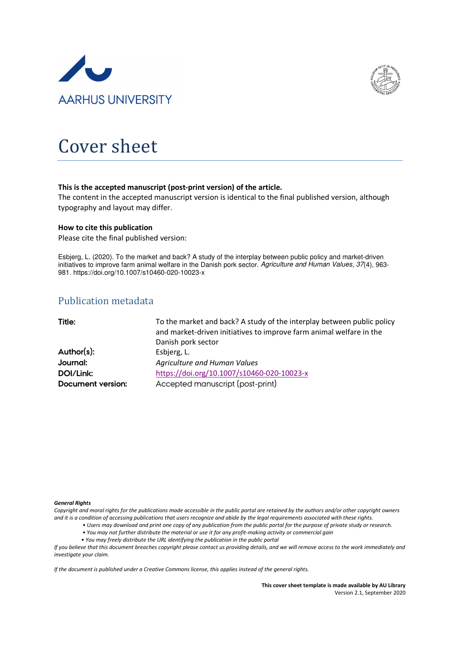



# Cover sheet

#### This is the accepted manuscript (post-print version) of the article.

The content in the accepted manuscript version is identical to the final published version, although typography and layout may differ.

#### How to cite this publication

Please cite the final published version:

Esbjerg, L. (2020). To the market and back? A study of the interplay between public policy and market-driven initiatives to improve farm animal welfare in the Danish pork sector. Agriculture and Human Values, 37(4), 963-981. https://doi.org/10.1007/s10460-020-10023-x

# Publication metadata

| Title:            | To the market and back? A study of the interplay between public policy<br>and market-driven initiatives to improve farm animal welfare in the |  |  |
|-------------------|-----------------------------------------------------------------------------------------------------------------------------------------------|--|--|
|                   | Danish pork sector                                                                                                                            |  |  |
| Author(s):        | Esbjerg, L.                                                                                                                                   |  |  |
| Journal:          | Agriculture and Human Values                                                                                                                  |  |  |
| DOI/Link:         | https://doi.org/10.1007/s10460-020-10023-x                                                                                                    |  |  |
| Document version: | Accepted manuscript (post-print)                                                                                                              |  |  |

#### General Rights

Copyright and moral rights for the publications made accessible in the public portal are retained by the authors and/or other copyright owners and it is a condition of accessing publications that users recognize and abide by the legal requirements associated with these rights.

- Users may download and print one copy of any publication from the public portal for the purpose of private study or research.
- You may not further distribute the material or use it for any profit-making activity or commercial gain
- You may freely distribute the URL identifying the publication in the public portal

If you believe that this document breaches copyright please contact us providing details, and we will remove access to the work immediately and investigate your claim.

If the document is published under a Creative Commons license, this applies instead of the general rights.

This cover sheet template is made available by AU Library Version 2.1, September 2020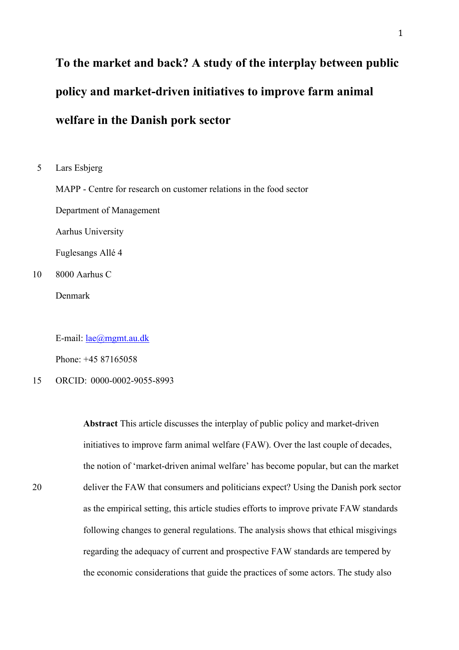# **To the market and back? A study of the interplay between public policy and market-driven initiatives to improve farm animal welfare in the Danish pork sector**

5 Lars Esbjerg

MAPP - Centre for research on customer relations in the food sector

Department of Management

Aarhus University

Fuglesangs Allé 4

10 8000 Aarhus C

Denmark

E-mail: <u>lae@mgmt.au.dk</u>

Phone: +45 87165058

# 15 ORCID: 0000-0002-9055-8993

**Abstract** This article discusses the interplay of public policy and market-driven initiatives to improve farm animal welfare (FAW). Over the last couple of decades, the notion of 'market-driven animal welfare' has become popular, but can the market 20 deliver the FAW that consumers and politicians expect? Using the Danish pork sector as the empirical setting, this article studies efforts to improve private FAW standards following changes to general regulations. The analysis shows that ethical misgivings regarding the adequacy of current and prospective FAW standards are tempered by the economic considerations that guide the practices of some actors. The study also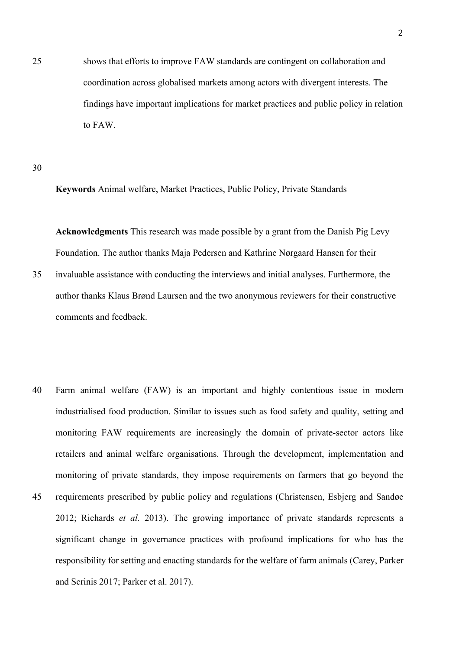25 shows that efforts to improve FAW standards are contingent on collaboration and coordination across globalised markets among actors with divergent interests. The findings have important implications for market practices and public policy in relation to FAW.

30

**Keywords** Animal welfare, Market Practices, Public Policy, Private Standards

**Acknowledgments** This research was made possible by a grant from the Danish Pig Levy Foundation. The author thanks Maja Pedersen and Kathrine Nørgaard Hansen for their

- 35 invaluable assistance with conducting the interviews and initial analyses. Furthermore, the author thanks Klaus Brønd Laursen and the two anonymous reviewers for their constructive comments and feedback.
- 40 Farm animal welfare (FAW) is an important and highly contentious issue in modern industrialised food production. Similar to issues such as food safety and quality, setting and monitoring FAW requirements are increasingly the domain of private-sector actors like retailers and animal welfare organisations. Through the development, implementation and monitoring of private standards, they impose requirements on farmers that go beyond the 45 requirements prescribed by public policy and regulations (Christensen, Esbjerg and Sandøe 2012; Richards *et al.* 2013). The growing importance of private standards represents a significant change in governance practices with profound implications for who has the responsibility for setting and enacting standards for the welfare of farm animals (Carey, Parker and Scrinis 2017; Parker et al. 2017).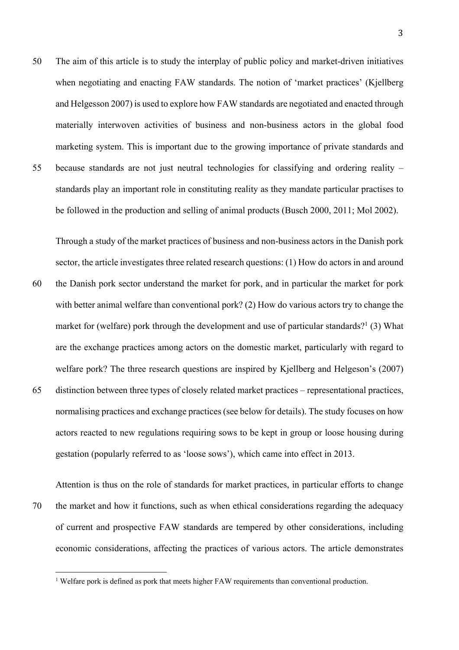50 The aim of this article is to study the interplay of public policy and market-driven initiatives when negotiating and enacting FAW standards. The notion of 'market practices' (Kjellberg) and Helgesson 2007) is used to explore how FAW standards are negotiated and enacted through materially interwoven activities of business and non-business actors in the global food marketing system. This is important due to the growing importance of private standards and 55 because standards are not just neutral technologies for classifying and ordering reality – standards play an important role in constituting reality as they mandate particular practises to be followed in the production and selling of animal products (Busch 2000, 2011; Mol 2002).

Through a study of the market practices of business and non-business actors in the Danish pork sector, the article investigates three related research questions: (1) How do actors in and around

- 60 the Danish pork sector understand the market for pork, and in particular the market for pork with better animal welfare than conventional pork? (2) How do various actors try to change the market for (welfare) pork through the development and use of particular standards?<sup>1</sup> (3) What are the exchange practices among actors on the domestic market, particularly with regard to welfare pork? The three research questions are inspired by Kjellberg and Helgeson's (2007)
- 65 distinction between three types of closely related market practices representational practices, normalising practices and exchange practices (see below for details). The study focuses on how actors reacted to new regulations requiring sows to be kept in group or loose housing during gestation (popularly referred to as 'loose sows'), which came into effect in 2013.

Attention is thus on the role of standards for market practices, in particular efforts to change 70 the market and how it functions, such as when ethical considerations regarding the adequacy of current and prospective FAW standards are tempered by other considerations, including economic considerations, affecting the practices of various actors. The article demonstrates

<sup>&</sup>lt;sup>1</sup> Welfare pork is defined as pork that meets higher FAW requirements than conventional production.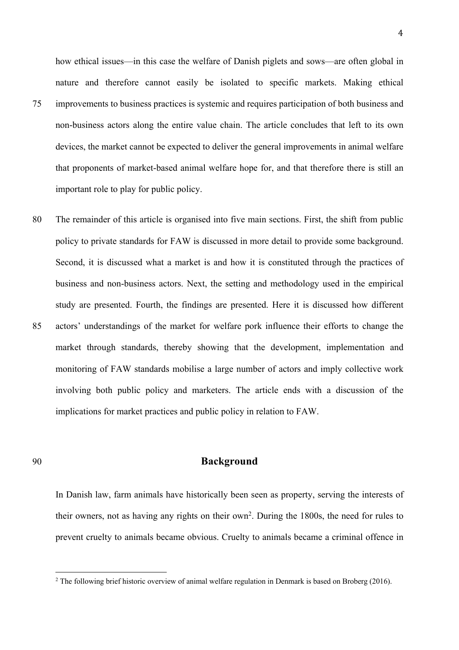how ethical issues—in this case the welfare of Danish piglets and sows—are often global in nature and therefore cannot easily be isolated to specific markets. Making ethical 75 improvements to business practices is systemic and requires participation of both business and non-business actors along the entire value chain. The article concludes that left to its own devices, the market cannot be expected to deliver the general improvements in animal welfare that proponents of market-based animal welfare hope for, and that therefore there is still an

important role to play for public policy.

80 The remainder of this article is organised into five main sections. First, the shift from public policy to private standards for FAW is discussed in more detail to provide some background. Second, it is discussed what a market is and how it is constituted through the practices of business and non-business actors. Next, the setting and methodology used in the empirical study are presented. Fourth, the findings are presented. Here it is discussed how different 85 actors' understandings of the market for welfare pork influence their efforts to change the market through standards, thereby showing that the development, implementation and monitoring of FAW standards mobilise a large number of actors and imply collective work involving both public policy and marketers. The article ends with a discussion of the implications for market practices and public policy in relation to FAW.

# 90 **Background**

In Danish law, farm animals have historically been seen as property, serving the interests of their owners, not as having any rights on their own2. During the 1800s, the need for rules to prevent cruelty to animals became obvious. Cruelty to animals became a criminal offence in

 $2$  The following brief historic overview of animal welfare regulation in Denmark is based on Broberg (2016).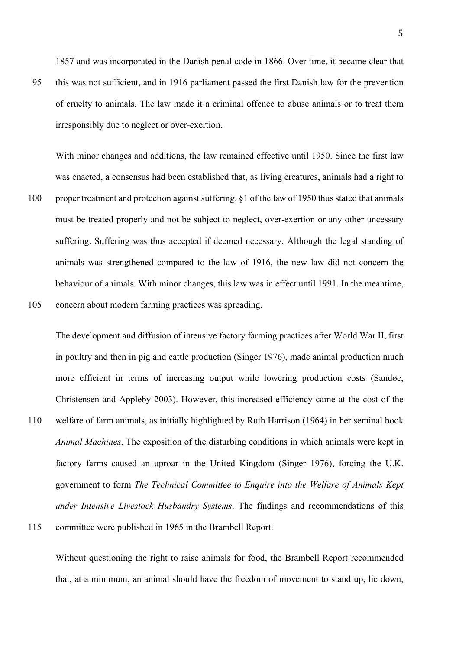1857 and was incorporated in the Danish penal code in 1866. Over time, it became clear that

95 this was not sufficient, and in 1916 parliament passed the first Danish law for the prevention of cruelty to animals. The law made it a criminal offence to abuse animals or to treat them irresponsibly due to neglect or over-exertion.

With minor changes and additions, the law remained effective until 1950. Since the first law was enacted, a consensus had been established that, as living creatures, animals had a right to 100 proper treatment and protection against suffering. §1 of the law of 1950 thus stated that animals

- must be treated properly and not be subject to neglect, over-exertion or any other uncessary suffering. Suffering was thus accepted if deemed necessary. Although the legal standing of animals was strengthened compared to the law of 1916, the new law did not concern the behaviour of animals. With minor changes, this law was in effect until 1991. In the meantime, 105 concern about modern farming practices was spreading.
- The development and diffusion of intensive factory farming practices after World War II, first in poultry and then in pig and cattle production (Singer 1976), made animal production much more efficient in terms of increasing output while lowering production costs (Sandøe, Christensen and Appleby 2003). However, this increased efficiency came at the cost of the 110 welfare of farm animals, as initially highlighted by Ruth Harrison (1964) in her seminal book *Animal Machines*. The exposition of the disturbing conditions in which animals were kept in factory farms caused an uproar in the United Kingdom (Singer 1976), forcing the U.K. government to form *The Technical Committee to Enquire into the Welfare of Animals Kept under Intensive Livestock Husbandry Systems*. The findings and recommendations of this 115 committee were published in 1965 in the Brambell Report.

Without questioning the right to raise animals for food, the Brambell Report recommended that, at a minimum, an animal should have the freedom of movement to stand up, lie down,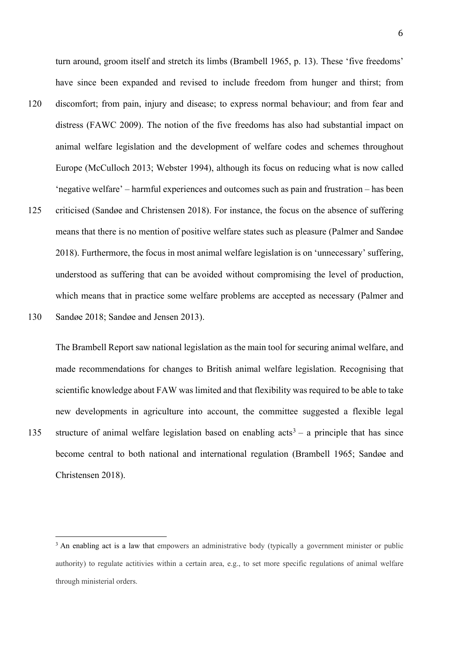turn around, groom itself and stretch its limbs (Brambell 1965, p. 13). These 'five freedoms' have since been expanded and revised to include freedom from hunger and thirst; from

- 120 discomfort; from pain, injury and disease; to express normal behaviour; and from fear and distress (FAWC 2009). The notion of the five freedoms has also had substantial impact on animal welfare legislation and the development of welfare codes and schemes throughout Europe (McCulloch 2013; Webster 1994), although its focus on reducing what is now called 'negative welfare' – harmful experiences and outcomes such as pain and frustration – has been
- 125 criticised (Sandøe and Christensen 2018). For instance, the focus on the absence of suffering means that there is no mention of positive welfare states such as pleasure (Palmer and Sandøe 2018). Furthermore, the focus in most animal welfare legislation is on 'unnecessary' suffering, understood as suffering that can be avoided without compromising the level of production, which means that in practice some welfare problems are accepted as necessary (Palmer and 130 Sandøe 2018; Sandøe and Jensen 2013).

The Brambell Report saw national legislation as the main tool for securing animal welfare, and made recommendations for changes to British animal welfare legislation. Recognising that scientific knowledge about FAW was limited and that flexibility was required to be able to take new developments in agriculture into account, the committee suggested a flexible legal 135 structure of animal welfare legislation based on enabling  $acts^3 - a$  principle that has since become central to both national and international regulation (Brambell 1965; Sandøe and Christensen 2018).

<sup>&</sup>lt;sup>3</sup> An enabling act is a law that empowers an administrative body (typically a government minister or public authority) to regulate actitivies within a certain area, e.g., to set more specific regulations of animal welfare through ministerial orders.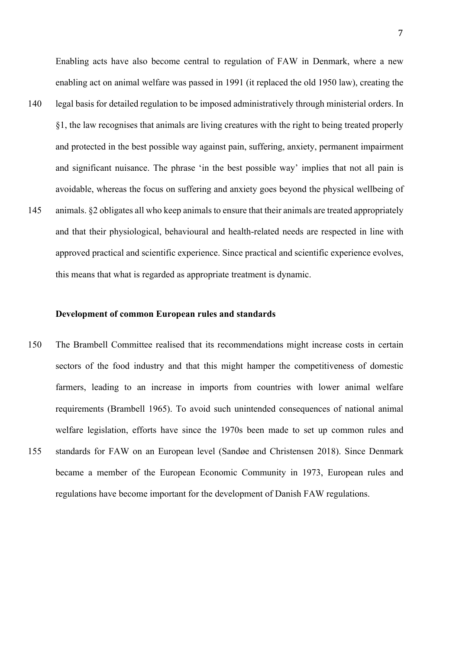Enabling acts have also become central to regulation of FAW in Denmark, where a new enabling act on animal welfare was passed in 1991 (it replaced the old 1950 law), creating the

- 140 legal basis for detailed regulation to be imposed administratively through ministerial orders. In §1, the law recognises that animals are living creatures with the right to being treated properly and protected in the best possible way against pain, suffering, anxiety, permanent impairment and significant nuisance. The phrase 'in the best possible way' implies that not all pain is avoidable, whereas the focus on suffering and anxiety goes beyond the physical wellbeing of 145 animals. §2 obligates all who keep animals to ensure that their animals are treated appropriately
- and that their physiological, behavioural and health-related needs are respected in line with approved practical and scientific experience. Since practical and scientific experience evolves, this means that what is regarded as appropriate treatment is dynamic.

## **Development of common European rules and standards**

150 The Brambell Committee realised that its recommendations might increase costs in certain sectors of the food industry and that this might hamper the competitiveness of domestic farmers, leading to an increase in imports from countries with lower animal welfare requirements (Brambell 1965). To avoid such unintended consequences of national animal welfare legislation, efforts have since the 1970s been made to set up common rules and 155 standards for FAW on an European level (Sandøe and Christensen 2018). Since Denmark became a member of the European Economic Community in 1973, European rules and regulations have become important for the development of Danish FAW regulations.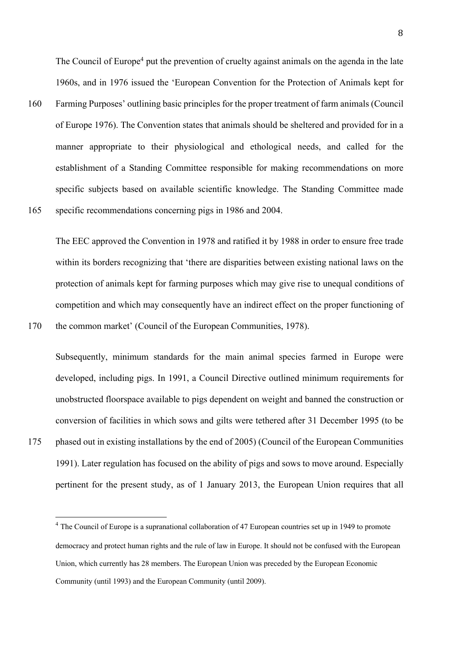The Council of Europe<sup>4</sup> put the prevention of cruelty against animals on the agenda in the late 1960s, and in 1976 issued the 'European Convention for the Protection of Animals kept for

160 Farming Purposes' outlining basic principles for the proper treatment of farm animals (Council of Europe 1976). The Convention states that animals should be sheltered and provided for in a manner appropriate to their physiological and ethological needs, and called for the establishment of a Standing Committee responsible for making recommendations on more specific subjects based on available scientific knowledge. The Standing Committee made 165 specific recommendations concerning pigs in 1986 and 2004.

The EEC approved the Convention in 1978 and ratified it by 1988 in order to ensure free trade within its borders recognizing that 'there are disparities between existing national laws on the protection of animals kept for farming purposes which may give rise to unequal conditions of competition and which may consequently have an indirect effect on the proper functioning of 170 the common market' (Council of the European Communities, 1978).

Subsequently, minimum standards for the main animal species farmed in Europe were developed, including pigs. In 1991, a Council Directive outlined minimum requirements for unobstructed floorspace available to pigs dependent on weight and banned the construction or conversion of facilities in which sows and gilts were tethered after 31 December 1995 (to be 175 phased out in existing installations by the end of 2005) (Council of the European Communities 1991). Later regulation has focused on the ability of pigs and sows to move around. Especially pertinent for the present study, as of 1 January 2013, the European Union requires that all

 $4$  The Council of Europe is a supranational collaboration of 47 European countries set up in 1949 to promote democracy and protect human rights and the rule of law in Europe. It should not be confused with the European Union, which currently has 28 members. The European Union was preceded by the European Economic Community (until 1993) and the European Community (until 2009).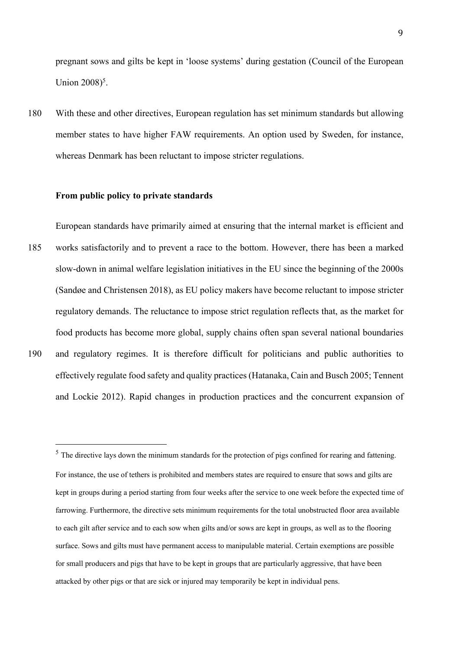pregnant sows and gilts be kept in 'loose systems' during gestation (Council of the European Union 2008)<sup>5</sup>.

180 With these and other directives, European regulation has set minimum standards but allowing member states to have higher FAW requirements. An option used by Sweden, for instance, whereas Denmark has been reluctant to impose stricter regulations.

#### **From public policy to private standards**

European standards have primarily aimed at ensuring that the internal market is efficient and 185 works satisfactorily and to prevent a race to the bottom. However, there has been a marked slow-down in animal welfare legislation initiatives in the EU since the beginning of the 2000s (Sandøe and Christensen 2018), as EU policy makers have become reluctant to impose stricter regulatory demands. The reluctance to impose strict regulation reflects that, as the market for food products has become more global, supply chains often span several national boundaries

190 and regulatory regimes. It is therefore difficult for politicians and public authorities to effectively regulate food safety and quality practices (Hatanaka, Cain and Busch 2005; Tennent and Lockie 2012). Rapid changes in production practices and the concurrent expansion of

<sup>5</sup> The directive lays down the minimum standards for the protection of pigs confined for rearing and fattening. For instance, the use of tethers is prohibited and members states are required to ensure that sows and gilts are kept in groups during a period starting from four weeks after the service to one week before the expected time of farrowing. Furthermore, the directive sets minimum requirements for the total unobstructed floor area available to each gilt after service and to each sow when gilts and/or sows are kept in groups, as well as to the flooring surface. Sows and gilts must have permanent access to manipulable material. Certain exemptions are possible for small producers and pigs that have to be kept in groups that are particularly aggressive, that have been attacked by other pigs or that are sick or injured may temporarily be kept in individual pens.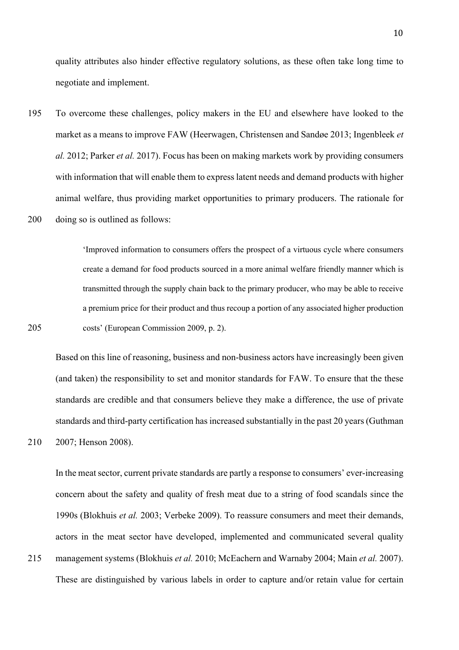quality attributes also hinder effective regulatory solutions, as these often take long time to negotiate and implement.

195 To overcome these challenges, policy makers in the EU and elsewhere have looked to the market as a means to improve FAW (Heerwagen, Christensen and Sandøe 2013; Ingenbleek *et al.* 2012; Parker *et al.* 2017). Focus has been on making markets work by providing consumers with information that will enable them to express latent needs and demand products with higher animal welfare, thus providing market opportunities to primary producers. The rationale for 200 doing so is outlined as follows:

'Improved information to consumers offers the prospect of a virtuous cycle where consumers create a demand for food products sourced in a more animal welfare friendly manner which is transmitted through the supply chain back to the primary producer, who may be able to receive a premium price for their product and thus recoup a portion of any associated higher production 205 costs' (European Commission 2009, p. 2).

Based on this line of reasoning, business and non-business actors have increasingly been given (and taken) the responsibility to set and monitor standards for FAW. To ensure that the these standards are credible and that consumers believe they make a difference, the use of private standards and third-party certification has increased substantially in the past 20 years (Guthman 210 2007; Henson 2008).

In the meat sector, current private standards are partly a response to consumers' ever-increasing concern about the safety and quality of fresh meat due to a string of food scandals since the 1990s (Blokhuis *et al.* 2003; Verbeke 2009). To reassure consumers and meet their demands, actors in the meat sector have developed, implemented and communicated several quality 215 management systems (Blokhuis *et al.* 2010; McEachern and Warnaby 2004; Main *et al.* 2007). These are distinguished by various labels in order to capture and/or retain value for certain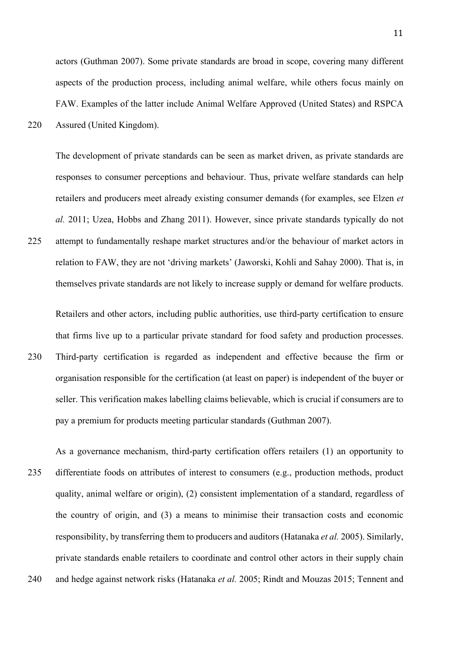actors (Guthman 2007). Some private standards are broad in scope, covering many different aspects of the production process, including animal welfare, while others focus mainly on FAW. Examples of the latter include Animal Welfare Approved (United States) and RSPCA 220 Assured (United Kingdom).

The development of private standards can be seen as market driven, as private standards are responses to consumer perceptions and behaviour. Thus, private welfare standards can help retailers and producers meet already existing consumer demands (for examples, see Elzen *et al.* 2011; Uzea, Hobbs and Zhang 2011). However, since private standards typically do not

225 attempt to fundamentally reshape market structures and/or the behaviour of market actors in relation to FAW, they are not 'driving markets' (Jaworski, Kohli and Sahay 2000). That is, in themselves private standards are not likely to increase supply or demand for welfare products.

Retailers and other actors, including public authorities, use third-party certification to ensure that firms live up to a particular private standard for food safety and production processes.

230 Third-party certification is regarded as independent and effective because the firm or organisation responsible for the certification (at least on paper) is independent of the buyer or seller. This verification makes labelling claims believable, which is crucial if consumers are to pay a premium for products meeting particular standards (Guthman 2007).

As a governance mechanism, third-party certification offers retailers (1) an opportunity to 235 differentiate foods on attributes of interest to consumers (e.g., production methods, product quality, animal welfare or origin), (2) consistent implementation of a standard, regardless of the country of origin, and (3) a means to minimise their transaction costs and economic responsibility, by transferring them to producers and auditors (Hatanaka *et al.* 2005). Similarly, private standards enable retailers to coordinate and control other actors in their supply chain 240 and hedge against network risks (Hatanaka *et al.* 2005; Rindt and Mouzas 2015; Tennent and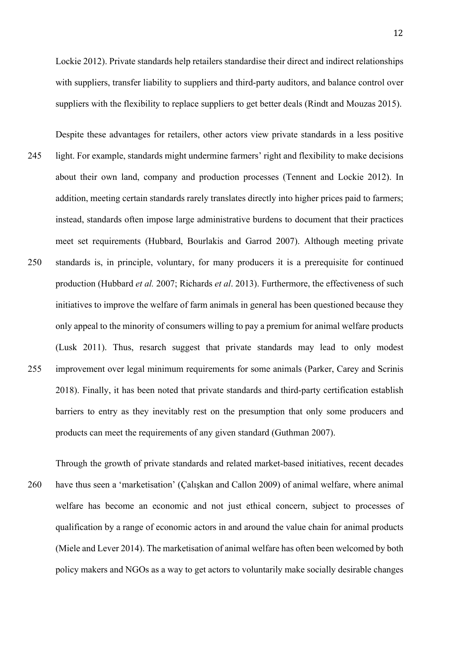Lockie 2012). Private standards help retailers standardise their direct and indirect relationships with suppliers, transfer liability to suppliers and third-party auditors, and balance control over suppliers with the flexibility to replace suppliers to get better deals (Rindt and Mouzas 2015).

- Despite these advantages for retailers, other actors view private standards in a less positive 245 light. For example, standards might undermine farmers' right and flexibility to make decisions about their own land, company and production processes (Tennent and Lockie 2012). In addition, meeting certain standards rarely translates directly into higher prices paid to farmers; instead, standards often impose large administrative burdens to document that their practices meet set requirements (Hubbard, Bourlakis and Garrod 2007). Although meeting private 250 standards is, in principle, voluntary, for many producers it is a prerequisite for continued production (Hubbard *et al.* 2007; Richards *et al*. 2013). Furthermore, the effectiveness of such initiatives to improve the welfare of farm animals in general has been questioned because they only appeal to the minority of consumers willing to pay a premium for animal welfare products (Lusk 2011). Thus, resarch suggest that private standards may lead to only modest 255 improvement over legal minimum requirements for some animals (Parker, Carey and Scrinis 2018). Finally, it has been noted that private standards and third-party certification establish barriers to entry as they inevitably rest on the presumption that only some producers and products can meet the requirements of any given standard (Guthman 2007).
- Through the growth of private standards and related market-based initiatives, recent decades 260 have thus seen a 'marketisation' (Çalışkan and Callon 2009) of animal welfare, where animal welfare has become an economic and not just ethical concern, subject to processes of qualification by a range of economic actors in and around the value chain for animal products (Miele and Lever 2014). The marketisation of animal welfare has often been welcomed by both policy makers and NGOs as a way to get actors to voluntarily make socially desirable changes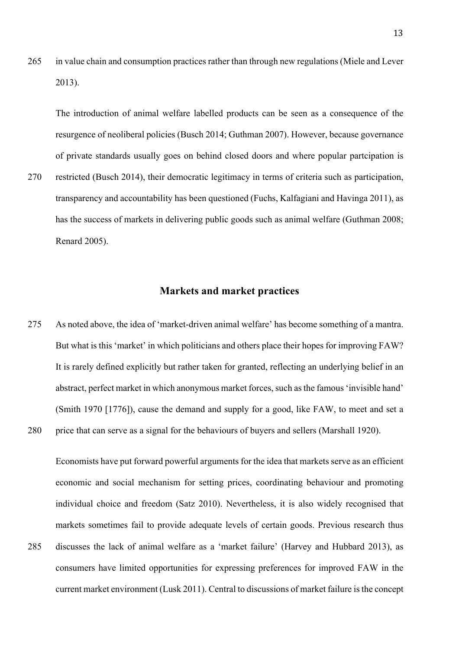265 in value chain and consumption practices rather than through new regulations (Miele and Lever 2013).

The introduction of animal welfare labelled products can be seen as a consequence of the resurgence of neoliberal policies (Busch 2014; Guthman 2007). However, because governance of private standards usually goes on behind closed doors and where popular partcipation is

270 restricted (Busch 2014), their democratic legitimacy in terms of criteria such as participation, transparency and accountability has been questioned (Fuchs, Kalfagiani and Havinga 2011), as has the success of markets in delivering public goods such as animal welfare (Guthman 2008; Renard 2005).

# **Markets and market practices**

275 As noted above, the idea of 'market-driven animal welfare' has become something of a mantra. But what is this 'market' in which politicians and others place their hopes for improving FAW? It is rarely defined explicitly but rather taken for granted, reflecting an underlying belief in an abstract, perfect market in which anonymous market forces, such as the famous 'invisible hand' (Smith 1970 [1776]), cause the demand and supply for a good, like FAW, to meet and set a 280 price that can serve as a signal for the behaviours of buyers and sellers (Marshall 1920).

Economists have put forward powerful arguments for the idea that markets serve as an efficient economic and social mechanism for setting prices, coordinating behaviour and promoting individual choice and freedom (Satz 2010). Nevertheless, it is also widely recognised that markets sometimes fail to provide adequate levels of certain goods. Previous research thus 285 discusses the lack of animal welfare as a 'market failure' (Harvey and Hubbard 2013), as consumers have limited opportunities for expressing preferences for improved FAW in the current market environment (Lusk 2011). Central to discussions of market failure is the concept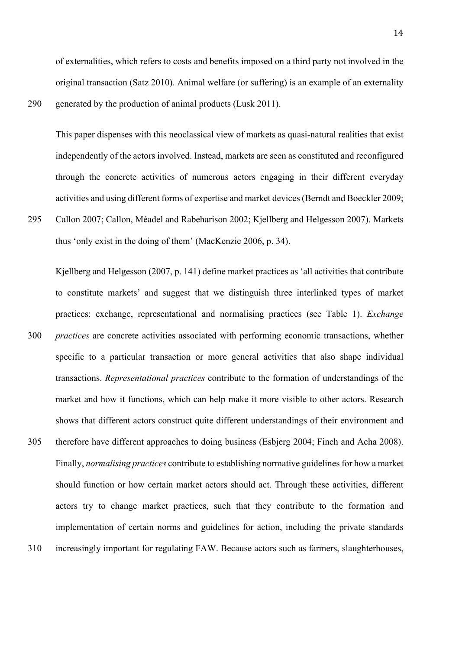of externalities, which refers to costs and benefits imposed on a third party not involved in the original transaction (Satz 2010). Animal welfare (or suffering) is an example of an externality 290 generated by the production of animal products (Lusk 2011).

This paper dispenses with this neoclassical view of markets as quasi-natural realities that exist independently of the actors involved. Instead, markets are seen as constituted and reconfigured through the concrete activities of numerous actors engaging in their different everyday activities and using different forms of expertise and market devices (Berndt and Boeckler 2009;

295 Callon 2007; Callon, Méadel and Rabeharison 2002; Kjellberg and Helgesson 2007). Markets thus 'only exist in the doing of them' (MacKenzie 2006, p. 34).

Kjellberg and Helgesson (2007, p. 141) define market practices as 'all activities that contribute to constitute markets' and suggest that we distinguish three interlinked types of market practices: exchange, representational and normalising practices (see Table 1). *Exchange* 

- 300 *practices* are concrete activities associated with performing economic transactions, whether specific to a particular transaction or more general activities that also shape individual transactions. *Representational practices* contribute to the formation of understandings of the market and how it functions, which can help make it more visible to other actors. Research shows that different actors construct quite different understandings of their environment and
- 305 therefore have different approaches to doing business (Esbjerg 2004; Finch and Acha 2008). Finally, *normalising practices* contribute to establishing normative guidelines for how a market should function or how certain market actors should act. Through these activities, different actors try to change market practices, such that they contribute to the formation and implementation of certain norms and guidelines for action, including the private standards 310 increasingly important for regulating FAW. Because actors such as farmers, slaughterhouses,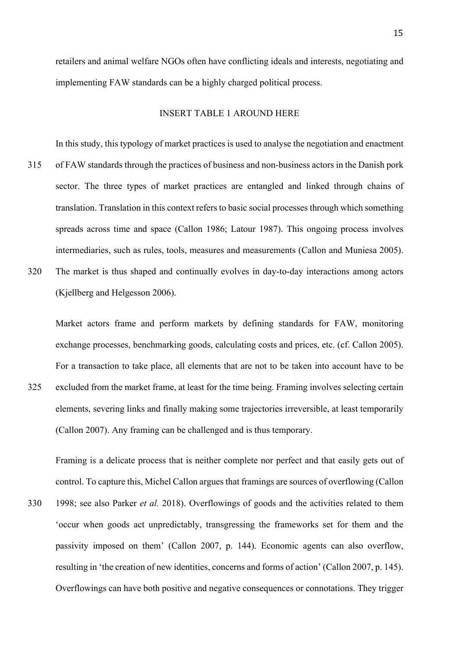retailers and animal welfare NGOs often have conflicting ideals and interests, negotiating and implementing FAW standards can be a highly charged political process.

# INSERT TABLE 1 AROUND HERE

In this study, this typology of market practices is used to analyse the negotiation and enactment 315 of FAW standards through the practices of business and non-business actors in the Danish pork sector. The three types of market practices are entangled and linked through chains of translation. Translation in this context refers to basic social processes through which something spreads across time and space (Callon 1986; Latour 1987). This ongoing process involves intermediaries, such as rules, tools, measures and measurements (Callon and Muniesa 2005).

320 The market is thus shaped and continually evolves in day-to-day interactions among actors (Kjellberg and Helgesson 2006).

Market actors frame and perform markets by defining standards for FAW, monitoring exchange processes, benchmarking goods, calculating costs and prices, etc. (cf. Callon 2005). For a transaction to take place, all elements that are not to be taken into account have to be 325 excluded from the market frame, at least for the time being. Framing involves selecting certain elements, severing links and finally making some trajectories irreversible, at least temporarily (Callon 2007). Any framing can be challenged and is thus temporary.

Framing is a delicate process that is neither complete nor perfect and that easily gets out of control. To capture this, Michel Callon argues that framings are sources of overflowing (Callon 330 1998; see also Parker *et al.* 2018). Overflowings of goods and the activities related to them

'occur when goods act unpredictably, transgressing the frameworks set for them and the passivity imposed on them' (Callon 2007, p. 144). Economic agents can also overflow, resulting in 'the creation of new identities, concerns and forms of action' (Callon 2007, p. 145). Overflowings can have both positive and negative consequences or connotations. They trigger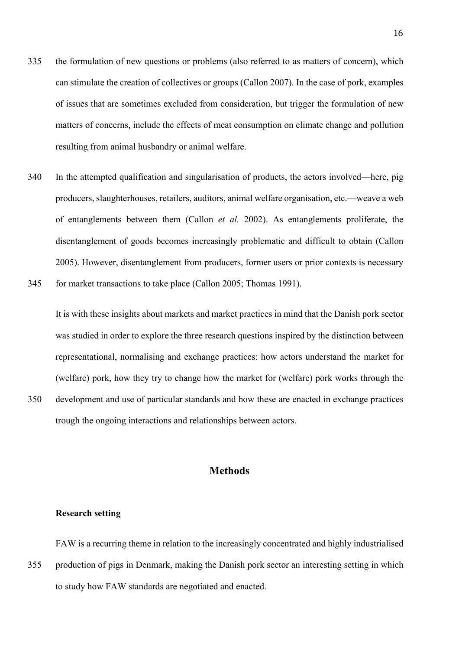- 335 the formulation of new questions or problems (also referred to as matters of concern), which can stimulate the creation of collectives or groups (Callon 2007). In the case of pork, examples of issues that are sometimes excluded from consideration, but trigger the formulation of new matters of concerns, include the effects of meat consumption on climate change and pollution resulting from animal husbandry or animal welfare.
- 340 In the attempted qualification and singularisation of products, the actors involved—here, pig producers, slaughterhouses, retailers, auditors, animal welfare organisation, etc.—weave a web of entanglements between them (Callon *et al.* 2002). As entanglements proliferate, the disentanglement of goods becomes increasingly problematic and difficult to obtain (Callon 2005). However, disentanglement from producers, former users or prior contexts is necessary 345 for market transactions to take place (Callon 2005; Thomas 1991).

It is with these insights about markets and market practices in mind that the Danish pork sector was studied in order to explore the three research questions inspired by the distinction between representational, normalising and exchange practices: how actors understand the market for (welfare) pork, how they try to change how the market for (welfare) pork works through the 350 development and use of particular standards and how these are enacted in exchange practices trough the ongoing interactions and relationships between actors.

# **Methods**

## **Research setting**

FAW is a recurring theme in relation to the increasingly concentrated and highly industrialised 355 production of pigs in Denmark, making the Danish pork sector an interesting setting in which to study how FAW standards are negotiated and enacted.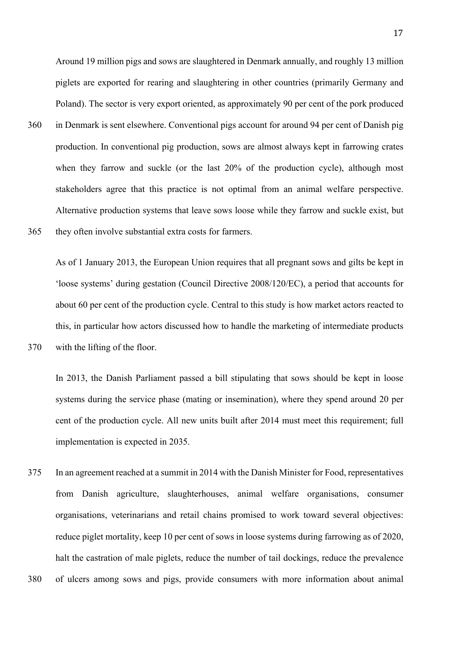Around 19 million pigs and sows are slaughtered in Denmark annually, and roughly 13 million piglets are exported for rearing and slaughtering in other countries (primarily Germany and Poland). The sector is very export oriented, as approximately 90 per cent of the pork produced 360 in Denmark is sent elsewhere. Conventional pigs account for around 94 per cent of Danish pig production. In conventional pig production, sows are almost always kept in farrowing crates when they farrow and suckle (or the last 20% of the production cycle), although most stakeholders agree that this practice is not optimal from an animal welfare perspective. Alternative production systems that leave sows loose while they farrow and suckle exist, but 365 they often involve substantial extra costs for farmers.

As of 1 January 2013, the European Union requires that all pregnant sows and gilts be kept in 'loose systems' during gestation (Council Directive 2008/120/EC), a period that accounts for about 60 per cent of the production cycle. Central to this study is how market actors reacted to this, in particular how actors discussed how to handle the marketing of intermediate products

In 2013, the Danish Parliament passed a bill stipulating that sows should be kept in loose systems during the service phase (mating or insemination), where they spend around 20 per cent of the production cycle. All new units built after 2014 must meet this requirement; full implementation is expected in 2035.

375 In an agreement reached at a summit in 2014 with the Danish Minister for Food, representatives from Danish agriculture, slaughterhouses, animal welfare organisations, consumer organisations, veterinarians and retail chains promised to work toward several objectives: reduce piglet mortality, keep 10 per cent of sows in loose systems during farrowing as of 2020, halt the castration of male piglets, reduce the number of tail dockings, reduce the prevalence 380 of ulcers among sows and pigs, provide consumers with more information about animal

17

<sup>370</sup> with the lifting of the floor.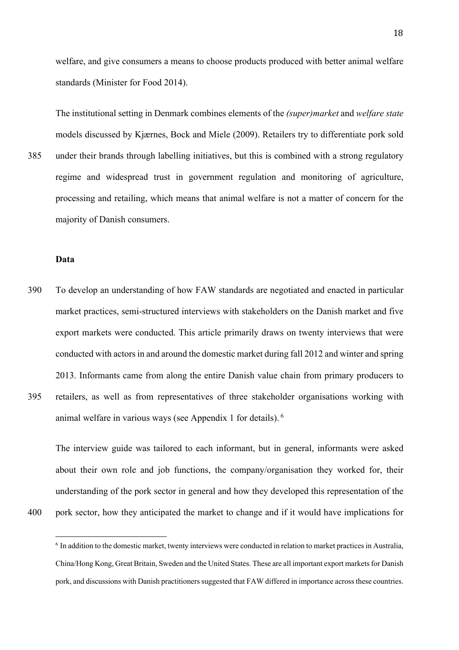welfare, and give consumers a means to choose products produced with better animal welfare standards (Minister for Food 2014).

The institutional setting in Denmark combines elements of the *(super)market* and *welfare state* models discussed by Kjærnes, Bock and Miele (2009). Retailers try to differentiate pork sold 385 under their brands through labelling initiatives, but this is combined with a strong regulatory regime and widespread trust in government regulation and monitoring of agriculture, processing and retailing, which means that animal welfare is not a matter of concern for the majority of Danish consumers.

# **Data**

390 To develop an understanding of how FAW standards are negotiated and enacted in particular market practices, semi-structured interviews with stakeholders on the Danish market and five export markets were conducted. This article primarily draws on twenty interviews that were conducted with actorsin and around the domestic market during fall 2012 and winter and spring 2013. Informants came from along the entire Danish value chain from primary producers to 395 retailers, as well as from representatives of three stakeholder organisations working with

animal welfare in various ways (see Appendix 1 for details). <sup>6</sup>

The interview guide was tailored to each informant, but in general, informants were asked about their own role and job functions, the company/organisation they worked for, their understanding of the pork sector in general and how they developed this representation of the

400 pork sector, how they anticipated the market to change and if it would have implications for

<sup>6</sup> In addition to the domestic market, twenty interviews were conducted in relation to market practices in Australia, China/Hong Kong, Great Britain, Sweden and the United States. These are all important export markets for Danish pork, and discussions with Danish practitioners suggested that FAW differed in importance across these countries.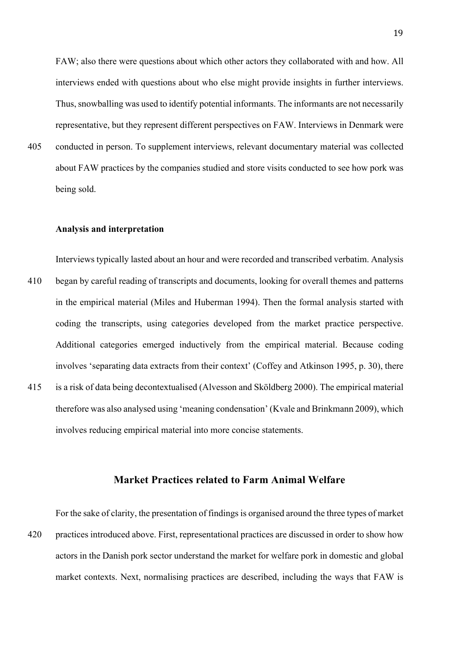FAW; also there were questions about which other actors they collaborated with and how. All interviews ended with questions about who else might provide insights in further interviews. Thus, snowballing was used to identify potential informants. The informants are not necessarily representative, but they represent different perspectives on FAW. Interviews in Denmark were

405 conducted in person. To supplement interviews, relevant documentary material was collected about FAW practices by the companies studied and store visits conducted to see how pork was being sold.

#### **Analysis and interpretation**

Interviews typically lasted about an hour and were recorded and transcribed verbatim. Analysis 410 began by careful reading of transcripts and documents, looking for overall themes and patterns in the empirical material (Miles and Huberman 1994). Then the formal analysis started with coding the transcripts, using categories developed from the market practice perspective. Additional categories emerged inductively from the empirical material. Because coding involves 'separating data extracts from their context' (Coffey and Atkinson 1995, p. 30), there 415 is a risk of data being decontextualised (Alvesson and Sköldberg 2000). The empirical material therefore was also analysed using 'meaning condensation' (Kvale and Brinkmann 2009), which involves reducing empirical material into more concise statements.

# **Market Practices related to Farm Animal Welfare**

For the sake of clarity, the presentation of findings is organised around the three types of market 420 practices introduced above. First, representational practices are discussed in order to show how actors in the Danish pork sector understand the market for welfare pork in domestic and global market contexts. Next, normalising practices are described, including the ways that FAW is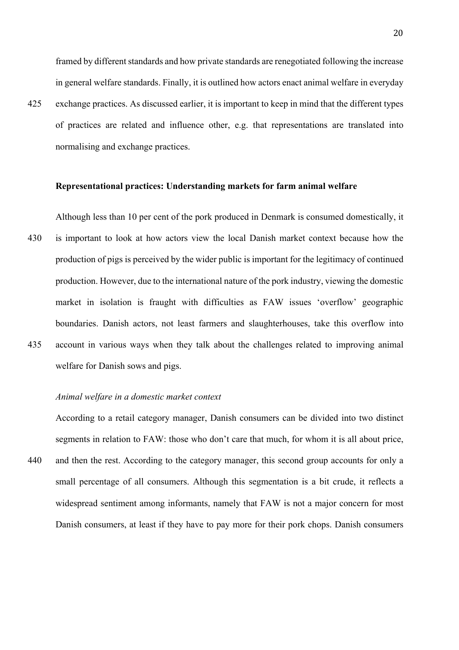framed by different standards and how private standards are renegotiated following the increase in general welfare standards. Finally, it is outlined how actors enact animal welfare in everyday

425 exchange practices. As discussed earlier, it is important to keep in mind that the different types of practices are related and influence other, e.g. that representations are translated into normalising and exchange practices.

## **Representational practices: Understanding markets for farm animal welfare**

Although less than 10 per cent of the pork produced in Denmark is consumed domestically, it 430 is important to look at how actors view the local Danish market context because how the production of pigs is perceived by the wider public is important for the legitimacy of continued production. However, due to the international nature of the pork industry, viewing the domestic market in isolation is fraught with difficulties as FAW issues 'overflow' geographic boundaries. Danish actors, not least farmers and slaughterhouses, take this overflow into 435 account in various ways when they talk about the challenges related to improving animal welfare for Danish sows and pigs.

#### *Animal welfare in a domestic market context*

According to a retail category manager, Danish consumers can be divided into two distinct segments in relation to FAW: those who don't care that much, for whom it is all about price,

440 and then the rest. According to the category manager, this second group accounts for only a small percentage of all consumers. Although this segmentation is a bit crude, it reflects a widespread sentiment among informants, namely that FAW is not a major concern for most Danish consumers, at least if they have to pay more for their pork chops. Danish consumers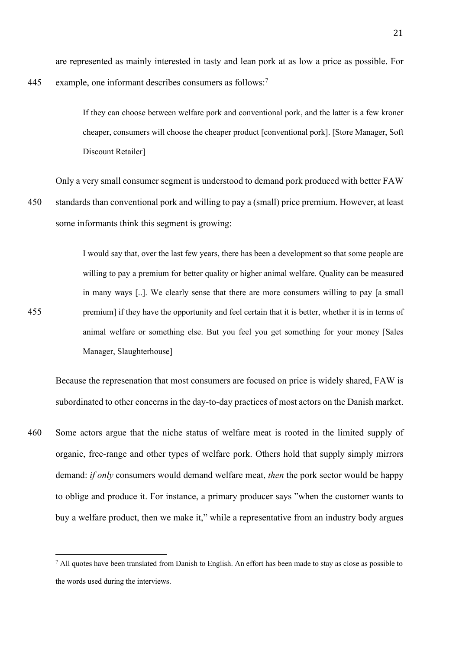are represented as mainly interested in tasty and lean pork at as low a price as possible. For

445 example, one informant describes consumers as follows:<sup>7</sup>

If they can choose between welfare pork and conventional pork, and the latter is a few kroner cheaper, consumers will choose the cheaper product [conventional pork]. [Store Manager, Soft Discount Retailer]

Only a very small consumer segment is understood to demand pork produced with better FAW 450 standards than conventional pork and willing to pay a (small) price premium. However, at least some informants think this segment is growing:

I would say that, over the last few years, there has been a development so that some people are willing to pay a premium for better quality or higher animal welfare. Quality can be measured in many ways [..]. We clearly sense that there are more consumers willing to pay [a small 455 premium] if they have the opportunity and feel certain that it is better, whether it is in terms of animal welfare or something else. But you feel you get something for your money [Sales Manager, Slaughterhouse]

Because the represenation that most consumers are focused on price is widely shared, FAW is subordinated to other concerns in the day-to-day practices of most actors on the Danish market.

460 Some actors argue that the niche status of welfare meat is rooted in the limited supply of organic, free-range and other types of welfare pork. Others hold that supply simply mirrors demand: *if only* consumers would demand welfare meat, *then* the pork sector would be happy to oblige and produce it. For instance, a primary producer says "when the customer wants to buy a welfare product, then we make it," while a representative from an industry body argues

 $<sup>7</sup>$  All quotes have been translated from Danish to English. An effort has been made to stay as close as possible to</sup> the words used during the interviews.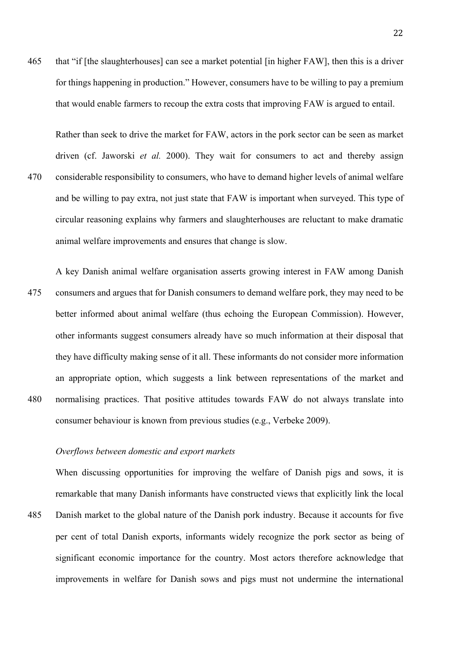465 that "if [the slaughterhouses] can see a market potential [in higher FAW], then this is a driver for things happening in production." However, consumers have to be willing to pay a premium that would enable farmers to recoup the extra costs that improving FAW is argued to entail.

Rather than seek to drive the market for FAW, actors in the pork sector can be seen as market driven (cf. Jaworski *et al.* 2000). They wait for consumers to act and thereby assign 470 considerable responsibility to consumers, who have to demand higher levels of animal welfare and be willing to pay extra, not just state that FAW is important when surveyed. This type of circular reasoning explains why farmers and slaughterhouses are reluctant to make dramatic animal welfare improvements and ensures that change is slow.

A key Danish animal welfare organisation asserts growing interest in FAW among Danish 475 consumers and argues that for Danish consumers to demand welfare pork, they may need to be better informed about animal welfare (thus echoing the European Commission). However, other informants suggest consumers already have so much information at their disposal that they have difficulty making sense of it all. These informants do not consider more information an appropriate option, which suggests a link between representations of the market and 480 normalising practices. That positive attitudes towards FAW do not always translate into consumer behaviour is known from previous studies (e.g., Verbeke 2009).

# *Overflows between domestic and export markets*

When discussing opportunities for improving the welfare of Danish pigs and sows, it is remarkable that many Danish informants have constructed views that explicitly link the local

485 Danish market to the global nature of the Danish pork industry. Because it accounts for five per cent of total Danish exports, informants widely recognize the pork sector as being of significant economic importance for the country. Most actors therefore acknowledge that improvements in welfare for Danish sows and pigs must not undermine the international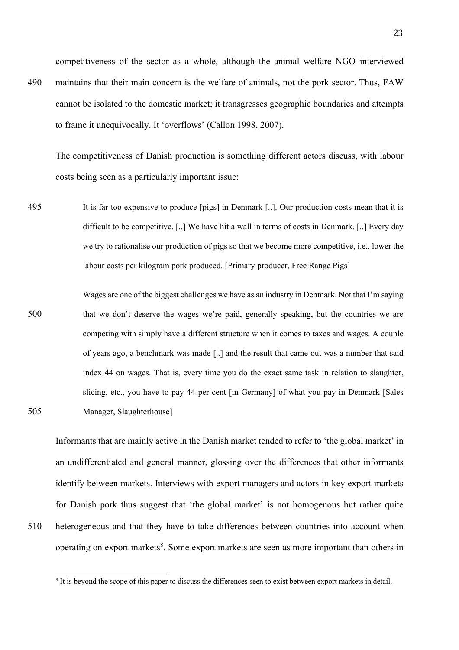competitiveness of the sector as a whole, although the animal welfare NGO interviewed 490 maintains that their main concern is the welfare of animals, not the pork sector. Thus, FAW

cannot be isolated to the domestic market; it transgresses geographic boundaries and attempts to frame it unequivocally. It 'overflows' (Callon 1998, 2007).

The competitiveness of Danish production is something different actors discuss, with labour costs being seen as a particularly important issue:

- 495 It is far too expensive to produce [pigs] in Denmark [..]. Our production costs mean that it is difficult to be competitive. [..] We have hit a wall in terms of costs in Denmark. [..] Every day we try to rationalise our production of pigs so that we become more competitive, i.e., lower the labour costs per kilogram pork produced. [Primary producer, Free Range Pigs]
- Wages are one of the biggest challenges we have as an industry in Denmark. Not that I'm saying 500 that we don't deserve the wages we're paid, generally speaking, but the countries we are competing with simply have a different structure when it comes to taxes and wages. A couple of years ago, a benchmark was made [..] and the result that came out was a number that said index 44 on wages. That is, every time you do the exact same task in relation to slaughter, slicing, etc., you have to pay 44 per cent [in Germany] of what you pay in Denmark [Sales 505 Manager, Slaughterhouse]

Informants that are mainly active in the Danish market tended to refer to 'the global market' in an undifferentiated and general manner, glossing over the differences that other informants identify between markets. Interviews with export managers and actors in key export markets for Danish pork thus suggest that 'the global market' is not homogenous but rather quite 510 heterogeneous and that they have to take differences between countries into account when operating on export markets<sup>8</sup>. Some export markets are seen as more important than others in

<sup>&</sup>lt;sup>8</sup> It is beyond the scope of this paper to discuss the differences seen to exist between export markets in detail.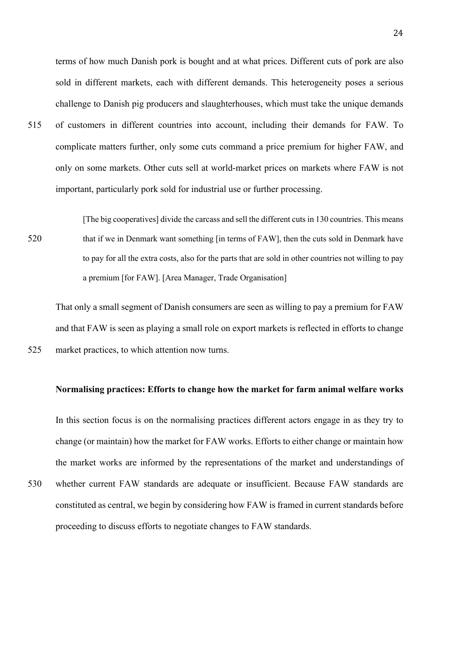terms of how much Danish pork is bought and at what prices. Different cuts of pork are also sold in different markets, each with different demands. This heterogeneity poses a serious challenge to Danish pig producers and slaughterhouses, which must take the unique demands 515 of customers in different countries into account, including their demands for FAW. To complicate matters further, only some cuts command a price premium for higher FAW, and only on some markets. Other cuts sell at world-market prices on markets where FAW is not important, particularly pork sold for industrial use or further processing.

[The big cooperatives] divide the carcass and sell the different cuts in 130 countries. This means 520 that if we in Denmark want something [in terms of FAW], then the cuts sold in Denmark have to pay for all the extra costs, also for the parts that are sold in other countries not willing to pay a premium [for FAW]. [Area Manager, Trade Organisation]

That only a small segment of Danish consumers are seen as willing to pay a premium for FAW and that FAW is seen as playing a small role on export markets is reflected in efforts to change 525 market practices, to which attention now turns.

#### **Normalising practices: Efforts to change how the market for farm animal welfare works**

In this section focus is on the normalising practices different actors engage in as they try to change (or maintain) how the market for FAW works. Efforts to either change or maintain how the market works are informed by the representations of the market and understandings of

530 whether current FAW standards are adequate or insufficient. Because FAW standards are constituted as central, we begin by considering how FAW is framed in current standards before proceeding to discuss efforts to negotiate changes to FAW standards.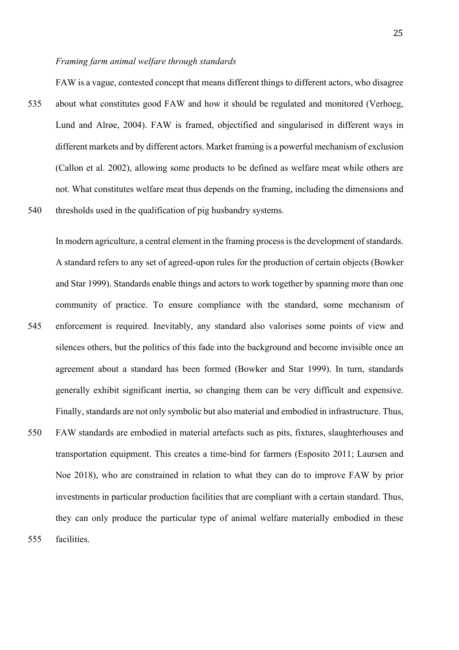#### *Framing farm animal welfare through standards*

FAW is a vague, contested concept that means different things to different actors, who disagree

535 about what constitutes good FAW and how it should be regulated and monitored (Verhoeg, Lund and Alrøe, 2004). FAW is framed, objectified and singularised in different ways in different markets and by different actors. Market framing is a powerful mechanism of exclusion (Callon et al. 2002), allowing some products to be defined as welfare meat while others are not. What constitutes welfare meat thus depends on the framing, including the dimensions and 540 thresholds used in the qualification of pig husbandry systems.

In modern agriculture, a central element in the framing process is the development of standards. A standard refers to any set of agreed-upon rules for the production of certain objects (Bowker and Star 1999). Standards enable things and actors to work together by spanning more than one community of practice. To ensure compliance with the standard, some mechanism of 545 enforcement is required. Inevitably, any standard also valorises some points of view and silences others, but the politics of this fade into the background and become invisible once an agreement about a standard has been formed (Bowker and Star 1999). In turn, standards generally exhibit significant inertia, so changing them can be very difficult and expensive. Finally, standards are not only symbolic but also material and embodied in infrastructure. Thus,

550 FAW standards are embodied in material artefacts such as pits, fixtures, slaughterhouses and transportation equipment. This creates a time-bind for farmers (Esposito 2011; Laursen and Noe 2018), who are constrained in relation to what they can do to improve FAW by prior investments in particular production facilities that are compliant with a certain standard. Thus, they can only produce the particular type of animal welfare materially embodied in these 555 facilities.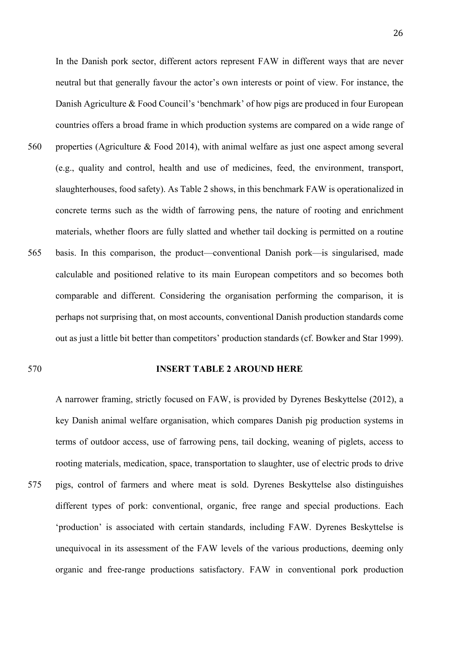In the Danish pork sector, different actors represent FAW in different ways that are never neutral but that generally favour the actor's own interests or point of view. For instance, the Danish Agriculture & Food Council's 'benchmark' of how pigs are produced in four European countries offers a broad frame in which production systems are compared on a wide range of 560 properties (Agriculture & Food 2014), with animal welfare as just one aspect among several (e.g., quality and control, health and use of medicines, feed, the environment, transport, slaughterhouses, food safety). As Table 2 shows, in this benchmark FAW is operationalized in concrete terms such as the width of farrowing pens, the nature of rooting and enrichment materials, whether floors are fully slatted and whether tail docking is permitted on a routine 565 basis. In this comparison, the product—conventional Danish pork—is singularised, made calculable and positioned relative to its main European competitors and so becomes both comparable and different. Considering the organisation performing the comparison, it is perhaps not surprising that, on most accounts, conventional Danish production standards come out as just a little bit better than competitors' production standards (cf. Bowker and Star 1999).

## 570 **INSERT TABLE 2 AROUND HERE**

A narrower framing, strictly focused on FAW, is provided by Dyrenes Beskyttelse (2012), a key Danish animal welfare organisation, which compares Danish pig production systems in terms of outdoor access, use of farrowing pens, tail docking, weaning of piglets, access to rooting materials, medication, space, transportation to slaughter, use of electric prods to drive 575 pigs, control of farmers and where meat is sold. Dyrenes Beskyttelse also distinguishes different types of pork: conventional, organic, free range and special productions. Each 'production' is associated with certain standards, including FAW. Dyrenes Beskyttelse is unequivocal in its assessment of the FAW levels of the various productions, deeming only organic and free-range productions satisfactory. FAW in conventional pork production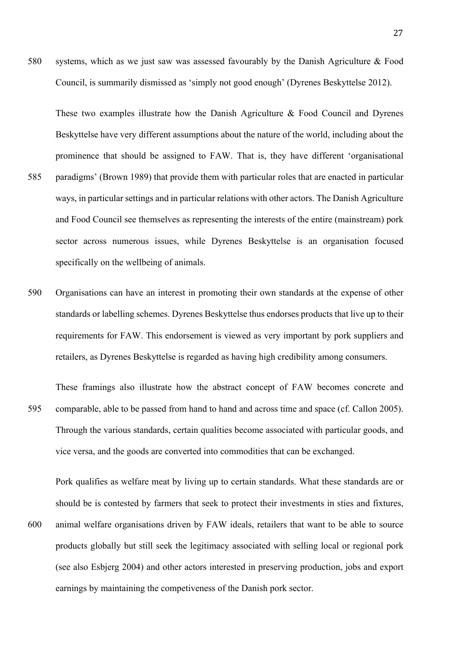580 systems, which as we just saw was assessed favourably by the Danish Agriculture & Food Council, is summarily dismissed as 'simply not good enough' (Dyrenes Beskyttelse 2012).

These two examples illustrate how the Danish Agriculture & Food Council and Dyrenes Beskyttelse have very different assumptions about the nature of the world, including about the prominence that should be assigned to FAW. That is, they have different 'organisational 585 paradigms' (Brown 1989) that provide them with particular roles that are enacted in particular ways, in particular settings and in particular relations with other actors. The Danish Agriculture

- and Food Council see themselves as representing the interests of the entire (mainstream) pork sector across numerous issues, while Dyrenes Beskyttelse is an organisation focused specifically on the wellbeing of animals.
- 590 Organisations can have an interest in promoting their own standards at the expense of other standards or labelling schemes. Dyrenes Beskyttelse thus endorses products that live up to their requirements for FAW. This endorsement is viewed as very important by pork suppliers and retailers, as Dyrenes Beskyttelse is regarded as having high credibility among consumers.

These framings also illustrate how the abstract concept of FAW becomes concrete and 595 comparable, able to be passed from hand to hand and across time and space (cf. Callon 2005). Through the various standards, certain qualities become associated with particular goods, and vice versa, and the goods are converted into commodities that can be exchanged.

Pork qualifies as welfare meat by living up to certain standards. What these standards are or should be is contested by farmers that seek to protect their investments in sties and fixtures, 600 animal welfare organisations driven by FAW ideals, retailers that want to be able to source products globally but still seek the legitimacy associated with selling local or regional pork (see also Esbjerg 2004) and other actors interested in preserving production, jobs and export earnings by maintaining the competiveness of the Danish pork sector.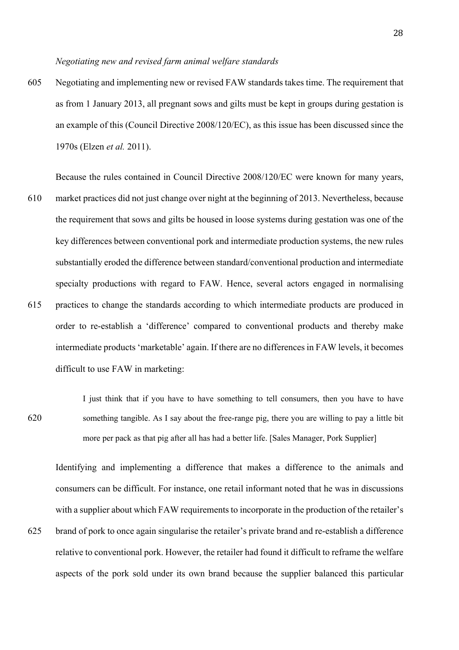605 Negotiating and implementing new or revised FAW standards takes time. The requirement that as from 1 January 2013, all pregnant sows and gilts must be kept in groups during gestation is an example of this (Council Directive 2008/120/EC), as this issue has been discussed since the 1970s (Elzen *et al.* 2011).

Because the rules contained in Council Directive 2008/120/EC were known for many years, 610 market practices did not just change over night at the beginning of 2013. Nevertheless, because the requirement that sows and gilts be housed in loose systems during gestation was one of the key differences between conventional pork and intermediate production systems, the new rules substantially eroded the difference between standard/conventional production and intermediate specialty productions with regard to FAW. Hence, several actors engaged in normalising 615 practices to change the standards according to which intermediate products are produced in order to re-establish a 'difference' compared to conventional products and thereby make intermediate products 'marketable' again. If there are no differences in FAW levels, it becomes difficult to use FAW in marketing:

I just think that if you have to have something to tell consumers, then you have to have 620 something tangible. As I say about the free-range pig, there you are willing to pay a little bit more per pack as that pig after all has had a better life. [Sales Manager, Pork Supplier]

Identifying and implementing a difference that makes a difference to the animals and consumers can be difficult. For instance, one retail informant noted that he was in discussions with a supplier about which FAW requirements to incorporate in the production of the retailer's 625 brand of pork to once again singularise the retailer's private brand and re-establish a difference relative to conventional pork. However, the retailer had found it difficult to reframe the welfare aspects of the pork sold under its own brand because the supplier balanced this particular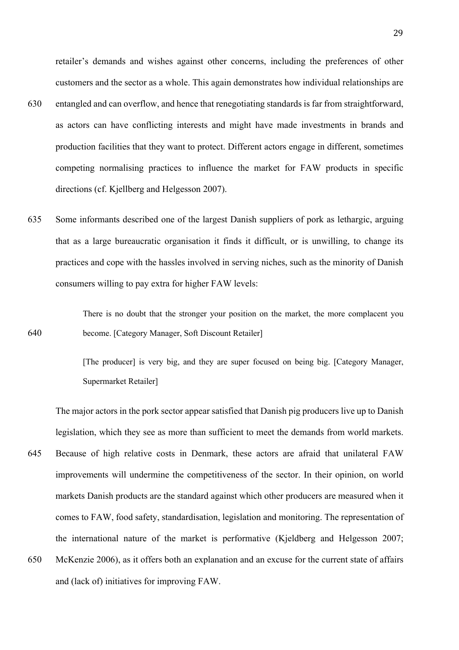retailer's demands and wishes against other concerns, including the preferences of other customers and the sector as a whole. This again demonstrates how individual relationships are

- 630 entangled and can overflow, and hence that renegotiating standards is far from straightforward, as actors can have conflicting interests and might have made investments in brands and production facilities that they want to protect. Different actors engage in different, sometimes competing normalising practices to influence the market for FAW products in specific directions (cf. Kjellberg and Helgesson 2007).
- 635 Some informants described one of the largest Danish suppliers of pork as lethargic, arguing that as a large bureaucratic organisation it finds it difficult, or is unwilling, to change its practices and cope with the hassles involved in serving niches, such as the minority of Danish consumers willing to pay extra for higher FAW levels:

There is no doubt that the stronger your position on the market, the more complacent you 640 become. [Category Manager, Soft Discount Retailer]

> [The producer] is very big, and they are super focused on being big. [Category Manager, Supermarket Retailer]

The major actors in the pork sector appear satisfied that Danish pig producers live up to Danish legislation, which they see as more than sufficient to meet the demands from world markets. 645 Because of high relative costs in Denmark, these actors are afraid that unilateral FAW improvements will undermine the competitiveness of the sector. In their opinion, on world markets Danish products are the standard against which other producers are measured when it comes to FAW, food safety, standardisation, legislation and monitoring. The representation of the international nature of the market is performative (Kjeldberg and Helgesson 2007; 650 McKenzie 2006), as it offers both an explanation and an excuse for the current state of affairs

and (lack of) initiatives for improving FAW.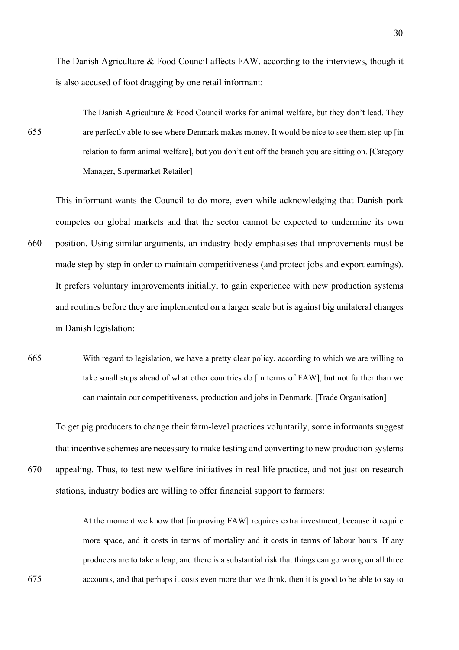The Danish Agriculture & Food Council affects FAW, according to the interviews, though it is also accused of foot dragging by one retail informant:

The Danish Agriculture & Food Council works for animal welfare, but they don't lead. They 655 are perfectly able to see where Denmark makes money. It would be nice to see them step up [in relation to farm animal welfare], but you don't cut off the branch you are sitting on. [Category Manager, Supermarket Retailer]

This informant wants the Council to do more, even while acknowledging that Danish pork competes on global markets and that the sector cannot be expected to undermine its own 660 position. Using similar arguments, an industry body emphasises that improvements must be made step by step in order to maintain competitiveness (and protect jobs and export earnings). It prefers voluntary improvements initially, to gain experience with new production systems and routines before they are implemented on a larger scale but is against big unilateral changes in Danish legislation:

665 With regard to legislation, we have a pretty clear policy, according to which we are willing to take small steps ahead of what other countries do [in terms of FAW], but not further than we can maintain our competitiveness, production and jobs in Denmark. [Trade Organisation]

To get pig producers to change their farm-level practices voluntarily, some informants suggest that incentive schemes are necessary to make testing and converting to new production systems 670 appealing. Thus, to test new welfare initiatives in real life practice, and not just on research stations, industry bodies are willing to offer financial support to farmers:

At the moment we know that [improving FAW] requires extra investment, because it require more space, and it costs in terms of mortality and it costs in terms of labour hours. If any producers are to take a leap, and there is a substantial risk that things can go wrong on all three 675 accounts, and that perhaps it costs even more than we think, then it is good to be able to say to

30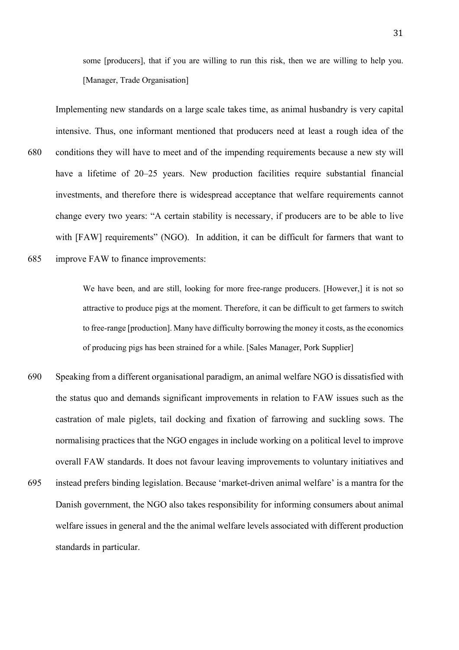some [producers], that if you are willing to run this risk, then we are willing to help you. [Manager, Trade Organisation]

Implementing new standards on a large scale takes time, as animal husbandry is very capital intensive. Thus, one informant mentioned that producers need at least a rough idea of the 680 conditions they will have to meet and of the impending requirements because a new sty will have a lifetime of 20–25 years. New production facilities require substantial financial investments, and therefore there is widespread acceptance that welfare requirements cannot change every two years: "A certain stability is necessary, if producers are to be able to live with [FAW] requirements" (NGO). In addition, it can be difficult for farmers that want to 685 improve FAW to finance improvements:

> We have been, and are still, looking for more free-range producers. [However,] it is not so attractive to produce pigs at the moment. Therefore, it can be difficult to get farmers to switch to free-range [production]. Many have difficulty borrowing the money it costs, as the economics of producing pigs has been strained for a while. [Sales Manager, Pork Supplier]

- 690 Speaking from a different organisational paradigm, an animal welfare NGO is dissatisfied with the status quo and demands significant improvements in relation to FAW issues such as the castration of male piglets, tail docking and fixation of farrowing and suckling sows. The normalising practices that the NGO engages in include working on a political level to improve overall FAW standards. It does not favour leaving improvements to voluntary initiatives and
- 695 instead prefers binding legislation. Because 'market-driven animal welfare' is a mantra for the Danish government, the NGO also takes responsibility for informing consumers about animal welfare issues in general and the the animal welfare levels associated with different production standards in particular.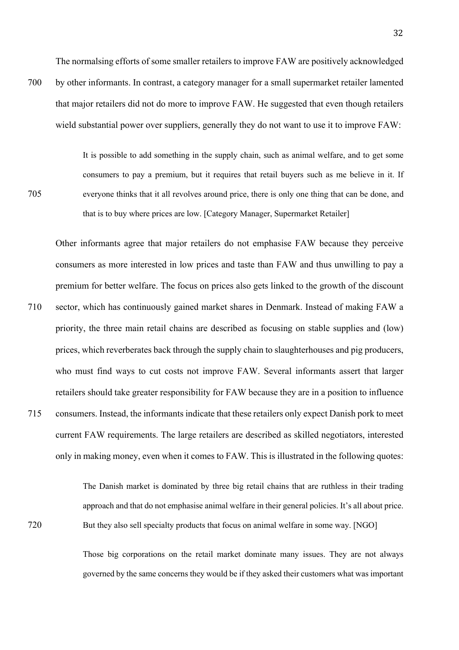The normalsing efforts of some smaller retailers to improve FAW are positively acknowledged

700 by other informants. In contrast, a category manager for a small supermarket retailer lamented that major retailers did not do more to improve FAW. He suggested that even though retailers wield substantial power over suppliers, generally they do not want to use it to improve FAW:

It is possible to add something in the supply chain, such as animal welfare, and to get some consumers to pay a premium, but it requires that retail buyers such as me believe in it. If 705 everyone thinks that it all revolves around price, there is only one thing that can be done, and that is to buy where prices are low. [Category Manager, Supermarket Retailer]

Other informants agree that major retailers do not emphasise FAW because they perceive consumers as more interested in low prices and taste than FAW and thus unwilling to pay a premium for better welfare. The focus on prices also gets linked to the growth of the discount 710 sector, which has continuously gained market shares in Denmark. Instead of making FAW a priority, the three main retail chains are described as focusing on stable supplies and (low) prices, which reverberates back through the supply chain to slaughterhouses and pig producers, who must find ways to cut costs not improve FAW. Several informants assert that larger retailers should take greater responsibility for FAW because they are in a position to influence 715 consumers. Instead, the informants indicate that these retailers only expect Danish pork to meet current FAW requirements. The large retailers are described as skilled negotiators, interested only in making money, even when it comes to FAW. This is illustrated in the following quotes:

The Danish market is dominated by three big retail chains that are ruthless in their trading approach and that do not emphasise animal welfare in their general policies. It's all about price. 720 But they also sell specialty products that focus on animal welfare in some way. [NGO]

> Those big corporations on the retail market dominate many issues. They are not always governed by the same concerns they would be if they asked their customers what was important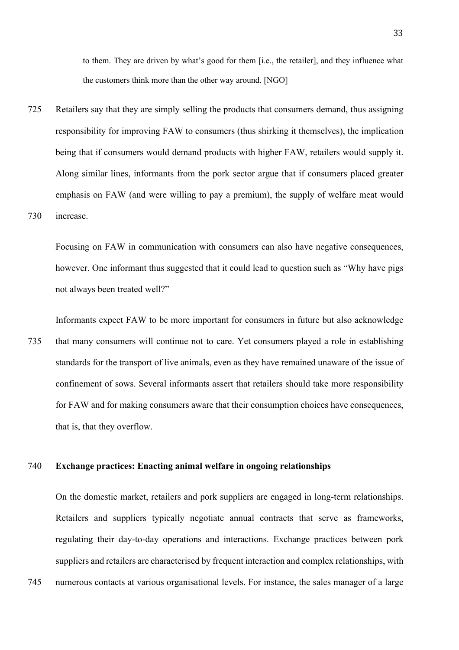to them. They are driven by what's good for them [i.e., the retailer], and they influence what the customers think more than the other way around. [NGO]

725 Retailers say that they are simply selling the products that consumers demand, thus assigning responsibility for improving FAW to consumers (thus shirking it themselves), the implication being that if consumers would demand products with higher FAW, retailers would supply it. Along similar lines, informants from the pork sector argue that if consumers placed greater emphasis on FAW (and were willing to pay a premium), the supply of welfare meat would 730 increase.

Focusing on FAW in communication with consumers can also have negative consequences, however. One informant thus suggested that it could lead to question such as "Why have pigs" not always been treated well?"

Informants expect FAW to be more important for consumers in future but also acknowledge 735 that many consumers will continue not to care. Yet consumers played a role in establishing standards for the transport of live animals, even as they have remained unaware of the issue of confinement of sows. Several informants assert that retailers should take more responsibility for FAW and for making consumers aware that their consumption choices have consequences, that is, that they overflow.

## 740 **Exchange practices: Enacting animal welfare in ongoing relationships**

On the domestic market, retailers and pork suppliers are engaged in long-term relationships. Retailers and suppliers typically negotiate annual contracts that serve as frameworks, regulating their day-to-day operations and interactions. Exchange practices between pork suppliers and retailers are characterised by frequent interaction and complex relationships, with

745 numerous contacts at various organisational levels. For instance, the sales manager of a large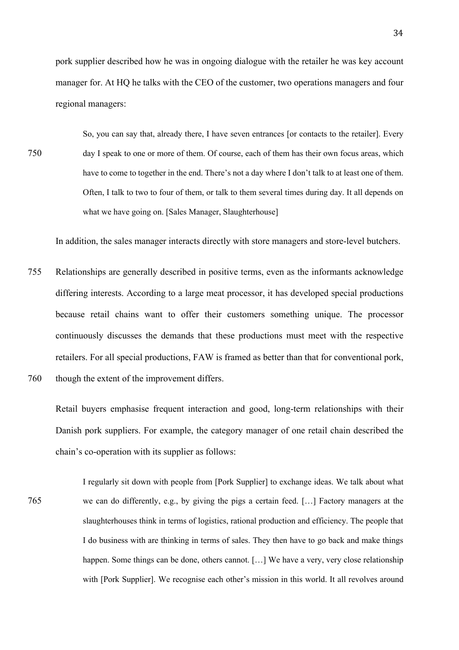pork supplier described how he was in ongoing dialogue with the retailer he was key account manager for. At HQ he talks with the CEO of the customer, two operations managers and four regional managers:

So, you can say that, already there, I have seven entrances [or contacts to the retailer]. Every 750 day I speak to one or more of them. Of course, each of them has their own focus areas, which have to come to together in the end. There's not a day where I don't talk to at least one of them. Often, I talk to two to four of them, or talk to them several times during day. It all depends on what we have going on. [Sales Manager, Slaughterhouse]

In addition, the sales manager interacts directly with store managers and store-level butchers.

755 Relationships are generally described in positive terms, even as the informants acknowledge differing interests. According to a large meat processor, it has developed special productions because retail chains want to offer their customers something unique. The processor continuously discusses the demands that these productions must meet with the respective retailers. For all special productions, FAW is framed as better than that for conventional pork, 760 though the extent of the improvement differs.

Retail buyers emphasise frequent interaction and good, long-term relationships with their Danish pork suppliers. For example, the category manager of one retail chain described the chain's co-operation with its supplier as follows:

I regularly sit down with people from [Pork Supplier] to exchange ideas. We talk about what 765 we can do differently, e.g., by giving the pigs a certain feed. […] Factory managers at the slaughterhouses think in terms of logistics, rational production and efficiency. The people that I do business with are thinking in terms of sales. They then have to go back and make things happen. Some things can be done, others cannot. [...] We have a very, very close relationship with [Pork Supplier]. We recognise each other's mission in this world. It all revolves around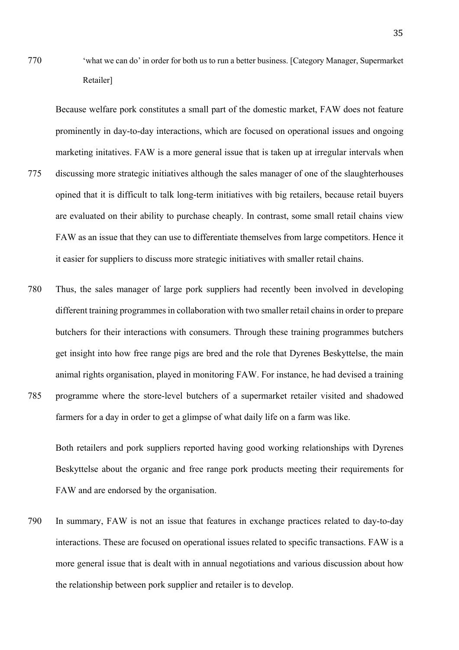770 'what we can do' in order for both us to run a better business. [Category Manager, Supermarket Retailer]

Because welfare pork constitutes a small part of the domestic market, FAW does not feature prominently in day-to-day interactions, which are focused on operational issues and ongoing marketing initatives. FAW is a more general issue that is taken up at irregular intervals when 775 discussing more strategic initiatives although the sales manager of one of the slaughterhouses opined that it is difficult to talk long-term initiatives with big retailers, because retail buyers are evaluated on their ability to purchase cheaply. In contrast, some small retail chains view FAW as an issue that they can use to differentiate themselves from large competitors. Hence it it easier for suppliers to discuss more strategic initiatives with smaller retail chains.

780 Thus, the sales manager of large pork suppliers had recently been involved in developing different training programmes in collaboration with two smaller retail chains in order to prepare butchers for their interactions with consumers. Through these training programmes butchers get insight into how free range pigs are bred and the role that Dyrenes Beskyttelse, the main animal rights organisation, played in monitoring FAW. For instance, he had devised a training 785 programme where the store-level butchers of a supermarket retailer visited and shadowed farmers for a day in order to get a glimpse of what daily life on a farm was like.

Both retailers and pork suppliers reported having good working relationships with Dyrenes Beskyttelse about the organic and free range pork products meeting their requirements for FAW and are endorsed by the organisation.

790 In summary, FAW is not an issue that features in exchange practices related to day-to-day interactions. These are focused on operational issues related to specific transactions. FAW is a more general issue that is dealt with in annual negotiations and various discussion about how the relationship between pork supplier and retailer is to develop.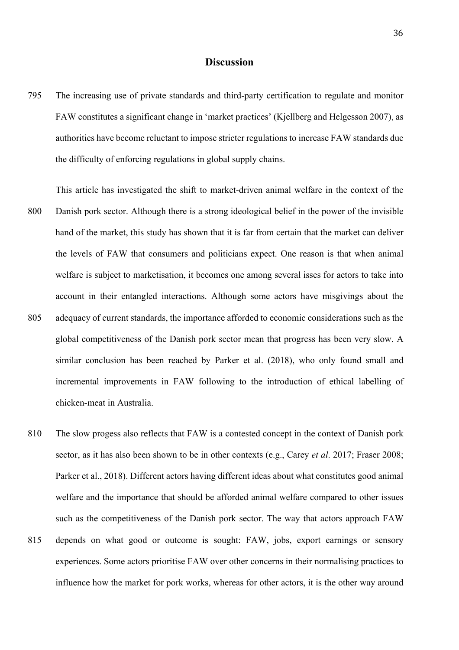# **Discussion**

795 The increasing use of private standards and third-party certification to regulate and monitor FAW constitutes a significant change in 'market practices' (Kjellberg and Helgesson 2007), as authorities have become reluctant to impose stricter regulations to increase FAW standards due the difficulty of enforcing regulations in global supply chains.

This article has investigated the shift to market-driven animal welfare in the context of the 800 Danish pork sector. Although there is a strong ideological belief in the power of the invisible hand of the market, this study has shown that it is far from certain that the market can deliver the levels of FAW that consumers and politicians expect. One reason is that when animal welfare is subject to marketisation, it becomes one among several isses for actors to take into account in their entangled interactions. Although some actors have misgivings about the 805 adequacy of current standards, the importance afforded to economic considerations such as the global competitiveness of the Danish pork sector mean that progress has been very slow. A similar conclusion has been reached by Parker et al. (2018), who only found small and incremental improvements in FAW following to the introduction of ethical labelling of chicken-meat in Australia.

- 810 The slow progess also reflects that FAW is a contested concept in the context of Danish pork sector, as it has also been shown to be in other contexts (e.g., Carey *et al*. 2017; Fraser 2008; Parker et al., 2018). Different actors having different ideas about what constitutes good animal welfare and the importance that should be afforded animal welfare compared to other issues such as the competitiveness of the Danish pork sector. The way that actors approach FAW 815 depends on what good or outcome is sought: FAW, jobs, export earnings or sensory
- experiences. Some actors prioritise FAW over other concerns in their normalising practices to influence how the market for pork works, whereas for other actors, it is the other way around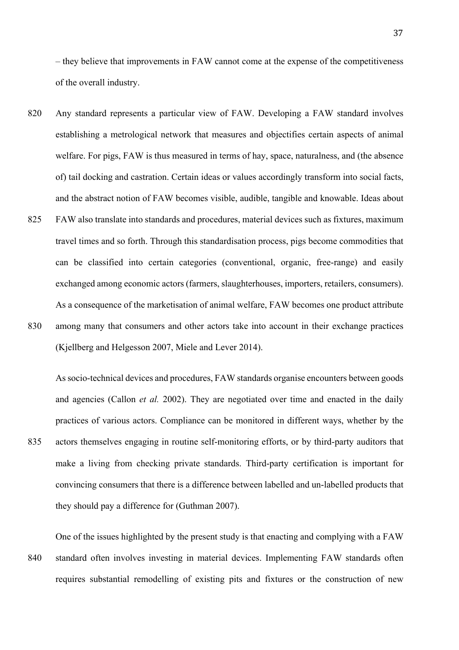– they believe that improvements in FAW cannot come at the expense of the competitiveness of the overall industry.

- 820 Any standard represents a particular view of FAW. Developing a FAW standard involves establishing a metrological network that measures and objectifies certain aspects of animal welfare. For pigs, FAW is thus measured in terms of hay, space, naturalness, and (the absence of) tail docking and castration. Certain ideas or values accordingly transform into social facts, and the abstract notion of FAW becomes visible, audible, tangible and knowable. Ideas about
- 825 FAW also translate into standards and procedures, material devices such as fixtures, maximum travel times and so forth. Through this standardisation process, pigs become commodities that can be classified into certain categories (conventional, organic, free-range) and easily exchanged among economic actors (farmers, slaughterhouses, importers, retailers, consumers). As a consequence of the marketisation of animal welfare, FAW becomes one product attribute
- 830 among many that consumers and other actors take into account in their exchange practices (Kjellberg and Helgesson 2007, Miele and Lever 2014).

As socio-technical devices and procedures, FAW standards organise encounters between goods and agencies (Callon *et al.* 2002). They are negotiated over time and enacted in the daily practices of various actors. Compliance can be monitored in different ways, whether by the 835 actors themselves engaging in routine self-monitoring efforts, or by third-party auditors that make a living from checking private standards. Third-party certification is important for convincing consumers that there is a difference between labelled and un-labelled products that they should pay a difference for (Guthman 2007).

One of the issues highlighted by the present study is that enacting and complying with a FAW 840 standard often involves investing in material devices. Implementing FAW standards often requires substantial remodelling of existing pits and fixtures or the construction of new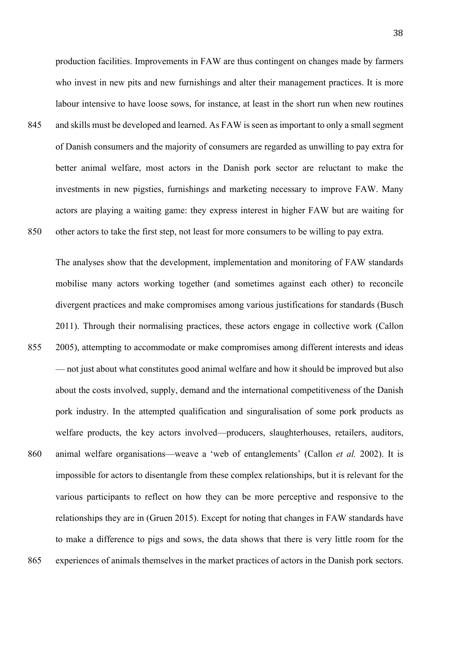production facilities. Improvements in FAW are thus contingent on changes made by farmers who invest in new pits and new furnishings and alter their management practices. It is more labour intensive to have loose sows, for instance, at least in the short run when new routines 845 and skills must be developed and learned. As FAW is seen as important to only a small segment of Danish consumers and the majority of consumers are regarded as unwilling to pay extra for better animal welfare, most actors in the Danish pork sector are reluctant to make the investments in new pigsties, furnishings and marketing necessary to improve FAW. Many actors are playing a waiting game: they express interest in higher FAW but are waiting for 850 other actors to take the first step, not least for more consumers to be willing to pay extra.

The analyses show that the development, implementation and monitoring of FAW standards mobilise many actors working together (and sometimes against each other) to reconcile divergent practices and make compromises among various justifications for standards (Busch 2011). Through their normalising practices, these actors engage in collective work (Callon 855 2005), attempting to accommodate or make compromises among different interests and ideas — not just about what constitutes good animal welfare and how it should be improved but also about the costs involved, supply, demand and the international competitiveness of the Danish pork industry. In the attempted qualification and singuralisation of some pork products as welfare products, the key actors involved—producers, slaughterhouses, retailers, auditors, 860 animal welfare organisations—weave a 'web of entanglements' (Callon *et al.* 2002). It is impossible for actors to disentangle from these complex relationships, but it is relevant for the various participants to reflect on how they can be more perceptive and responsive to the relationships they are in (Gruen 2015). Except for noting that changes in FAW standards have to make a difference to pigs and sows, the data shows that there is very little room for the

865 experiences of animals themselves in the market practices of actors in the Danish pork sectors.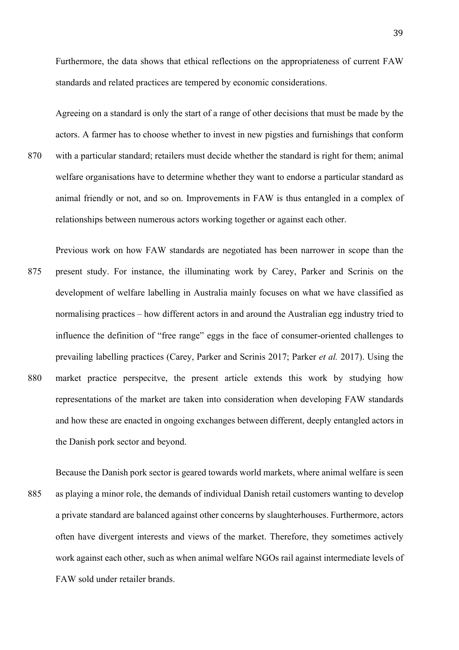Furthermore, the data shows that ethical reflections on the appropriateness of current FAW standards and related practices are tempered by economic considerations.

Agreeing on a standard is only the start of a range of other decisions that must be made by the actors. A farmer has to choose whether to invest in new pigsties and furnishings that conform 870 with a particular standard; retailers must decide whether the standard is right for them; animal welfare organisations have to determine whether they want to endorse a particular standard as animal friendly or not, and so on. Improvements in FAW is thus entangled in a complex of relationships between numerous actors working together or against each other.

- Previous work on how FAW standards are negotiated has been narrower in scope than the 875 present study. For instance, the illuminating work by Carey, Parker and Scrinis on the development of welfare labelling in Australia mainly focuses on what we have classified as normalising practices – how different actors in and around the Australian egg industry tried to influence the definition of "free range" eggs in the face of consumer-oriented challenges to prevailing labelling practices (Carey, Parker and Scrinis 2017; Parker *et al.* 2017). Using the 880 market practice perspecitve, the present article extends this work by studying how representations of the market are taken into consideration when developing FAW standards and how these are enacted in ongoing exchanges between different, deeply entangled actors in the Danish pork sector and beyond.
- Because the Danish pork sector is geared towards world markets, where animal welfare is seen 885 as playing a minor role, the demands of individual Danish retail customers wanting to develop a private standard are balanced against other concerns by slaughterhouses. Furthermore, actors often have divergent interests and views of the market. Therefore, they sometimes actively work against each other, such as when animal welfare NGOs rail against intermediate levels of FAW sold under retailer brands.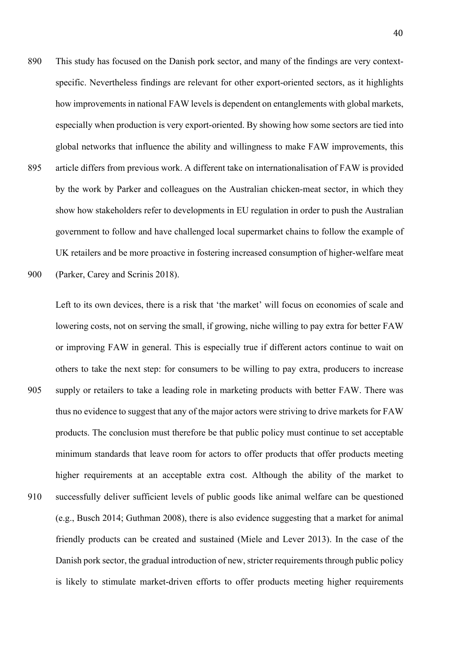890 This study has focused on the Danish pork sector, and many of the findings are very contextspecific. Nevertheless findings are relevant for other export-oriented sectors, as it highlights how improvements in national FAW levels is dependent on entanglements with global markets, especially when production is very export-oriented. By showing how some sectors are tied into global networks that influence the ability and willingness to make FAW improvements, this 895 article differs from previous work. A different take on internationalisation of FAW is provided by the work by Parker and colleagues on the Australian chicken-meat sector, in which they show how stakeholders refer to developments in EU regulation in order to push the Australian government to follow and have challenged local supermarket chains to follow the example of UK retailers and be more proactive in fostering increased consumption of higher-welfare meat 900 (Parker, Carey and Scrinis 2018).

Left to its own devices, there is a risk that 'the market' will focus on economies of scale and lowering costs, not on serving the small, if growing, niche willing to pay extra for better FAW or improving FAW in general. This is especially true if different actors continue to wait on others to take the next step: for consumers to be willing to pay extra, producers to increase 905 supply or retailers to take a leading role in marketing products with better FAW. There was thus no evidence to suggest that any of the major actors were striving to drive markets for FAW products. The conclusion must therefore be that public policy must continue to set acceptable minimum standards that leave room for actors to offer products that offer products meeting higher requirements at an acceptable extra cost. Although the ability of the market to 910 successfully deliver sufficient levels of public goods like animal welfare can be questioned (e.g., Busch 2014; Guthman 2008), there is also evidence suggesting that a market for animal friendly products can be created and sustained (Miele and Lever 2013). In the case of the Danish pork sector, the gradual introduction of new, stricter requirements through public policy is likely to stimulate market-driven efforts to offer products meeting higher requirements

40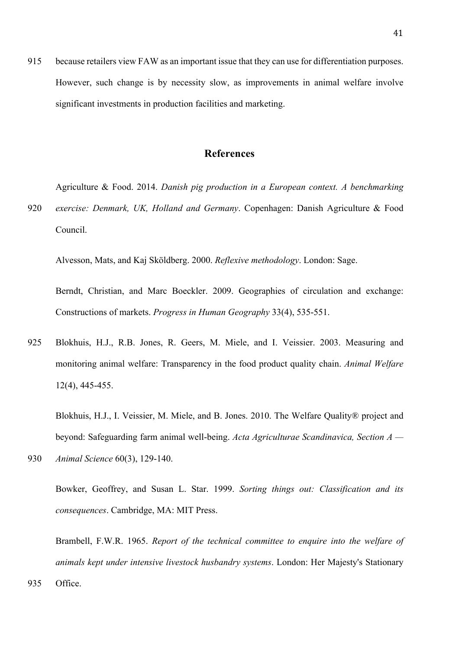915 because retailers view FAW as an important issue that they can use for differentiation purposes. However, such change is by necessity slow, as improvements in animal welfare involve significant investments in production facilities and marketing.

# **References**

Agriculture & Food. 2014. *Danish pig production in a European context. A benchmarking* 

920 *exercise: Denmark, UK, Holland and Germany*. Copenhagen: Danish Agriculture & Food Council.

Alvesson, Mats, and Kaj Sköldberg. 2000. *Reflexive methodology*. London: Sage.

Berndt, Christian, and Marc Boeckler. 2009. Geographies of circulation and exchange: Constructions of markets. *Progress in Human Geography* 33(4), 535-551.

925 Blokhuis, H.J., R.B. Jones, R. Geers, M. Miele, and I. Veissier. 2003. Measuring and monitoring animal welfare: Transparency in the food product quality chain. *Animal Welfare*  12(4), 445-455.

Blokhuis, H.J., I. Veissier, M. Miele, and B. Jones. 2010. The Welfare Quality® project and beyond: Safeguarding farm animal well-being. *Acta Agriculturae Scandinavica, Section A —*

930 *Animal Science* 60(3), 129-140.

Bowker, Geoffrey, and Susan L. Star. 1999. *Sorting things out: Classification and its consequences*. Cambridge, MA: MIT Press.

Brambell, F.W.R. 1965. *Report of the technical committee to enquire into the welfare of animals kept under intensive livestock husbandry systems*. London: Her Majesty's Stationary

935 Office.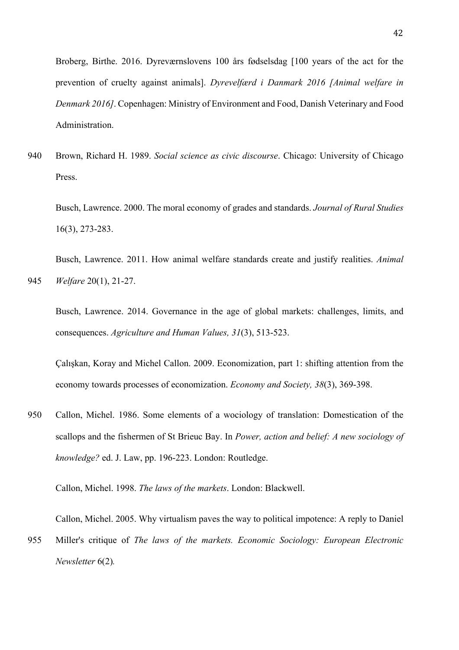Broberg, Birthe. 2016. Dyreværnslovens 100 års fødselsdag [100 years of the act for the prevention of cruelty against animals]. *Dyrevelfærd i Danmark 2016 [Animal welfare in Denmark 2016]*. Copenhagen: Ministry of Environment and Food, Danish Veterinary and Food Administration.

940 Brown, Richard H. 1989. *Social science as civic discourse*. Chicago: University of Chicago Press.

Busch, Lawrence. 2000. The moral economy of grades and standards. *Journal of Rural Studies*  16(3), 273-283.

Busch, Lawrence. 2011. How animal welfare standards create and justify realities. *Animal*  945 *Welfare* 20(1), 21-27.

Busch, Lawrence. 2014. Governance in the age of global markets: challenges, limits, and consequences. *Agriculture and Human Values, 31*(3), 513-523.

Çalışkan, Koray and Michel Callon. 2009. Economization, part 1: shifting attention from the economy towards processes of economization. *Economy and Society, 38*(3), 369-398.

950 Callon, Michel. 1986. Some elements of a wociology of translation: Domestication of the scallops and the fishermen of St Brieuc Bay. In *Power, action and belief: A new sociology of knowledge?* ed. J. Law, pp. 196-223. London: Routledge.

Callon, Michel. 1998. *The laws of the markets*. London: Blackwell.

Callon, Michel. 2005. Why virtualism paves the way to political impotence: A reply to Daniel

955 Miller's critique of *The laws of the markets. Economic Sociology: European Electronic Newsletter* 6(2)*.*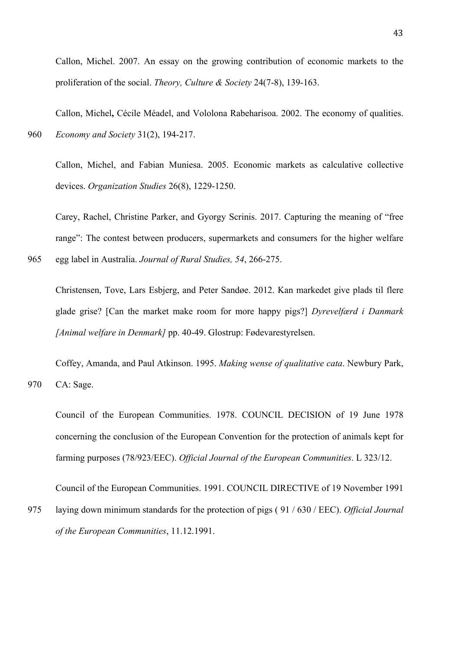Callon, Michel. 2007. An essay on the growing contribution of economic markets to the proliferation of the social. *Theory, Culture & Society* 24(7-8), 139-163.

Callon, Michel**,** Cécile Méadel, and Vololona Rabeharisoa. 2002. The economy of qualities. 960 *Economy and Society* 31(2), 194-217.

Callon, Michel, and Fabian Muniesa. 2005. Economic markets as calculative collective devices. *Organization Studies* 26(8), 1229-1250.

Carey, Rachel, Christine Parker, and Gyorgy Scrinis. 2017. Capturing the meaning of "free range": The contest between producers, supermarkets and consumers for the higher welfare

965 egg label in Australia. *Journal of Rural Studies, 54*, 266-275.

Christensen, Tove, Lars Esbjerg, and Peter Sandøe. 2012. Kan markedet give plads til flere glade grise? [Can the market make room for more happy pigs?] *Dyrevelfærd i Danmark [Animal welfare in Denmark]* pp. 40-49. Glostrup: Fødevarestyrelsen.

Coffey, Amanda, and Paul Atkinson. 1995. *Making wense of qualitative cata*. Newbury Park, 970 CA: Sage.

Council of the European Communities. 1978. COUNCIL DECISION of 19 June 1978 concerning the conclusion of the European Convention for the protection of animals kept for farming purposes (78/923/EEC). *Official Journal of the European Communities*. L 323/12.

Council of the European Communities. 1991. COUNCIL DIRECTIVE of 19 November 1991

975 laying down minimum standards for the protection of pigs ( 91 / 630 / EEC). *Official Journal of the European Communities*, 11.12.1991.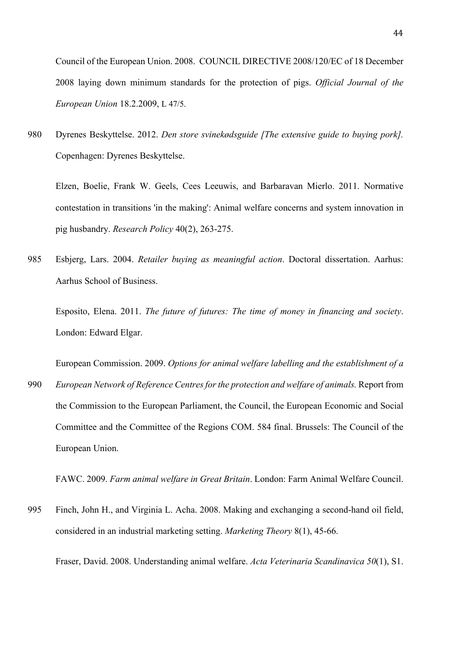Council of the European Union. 2008. COUNCIL DIRECTIVE 2008/120/EC of 18 December 2008 laying down minimum standards for the protection of pigs. *Official Journal of the European Union* 18.2.2009, L 47/5.

980 Dyrenes Beskyttelse. 2012. *Den store svinekødsguide [The extensive guide to buying pork].* Copenhagen: Dyrenes Beskyttelse.

Elzen, Boelie, Frank W. Geels, Cees Leeuwis, and Barbaravan Mierlo. 2011. Normative contestation in transitions 'in the making': Animal welfare concerns and system innovation in pig husbandry. *Research Policy* 40(2), 263-275.

985 Esbjerg, Lars. 2004. *Retailer buying as meaningful action*. Doctoral dissertation. Aarhus: Aarhus School of Business.

Esposito, Elena. 2011. *The future of futures: The time of money in financing and society*. London: Edward Elgar.

European Commission. 2009. *Options for animal welfare labelling and the establishment of a* 

990 *European Network of Reference Centres for the protection and welfare of animals.* Report from the Commission to the European Parliament, the Council, the European Economic and Social Committee and the Committee of the Regions COM. 584 final. Brussels: The Council of the European Union.

FAWC. 2009. *Farm animal welfare in Great Britain*. London: Farm Animal Welfare Council.

995 Finch, John H., and Virginia L. Acha. 2008. Making and exchanging a second-hand oil field, considered in an industrial marketing setting. *Marketing Theory* 8(1), 45-66.

Fraser, David. 2008. Understanding animal welfare. *Acta Veterinaria Scandinavica 50*(1), S1.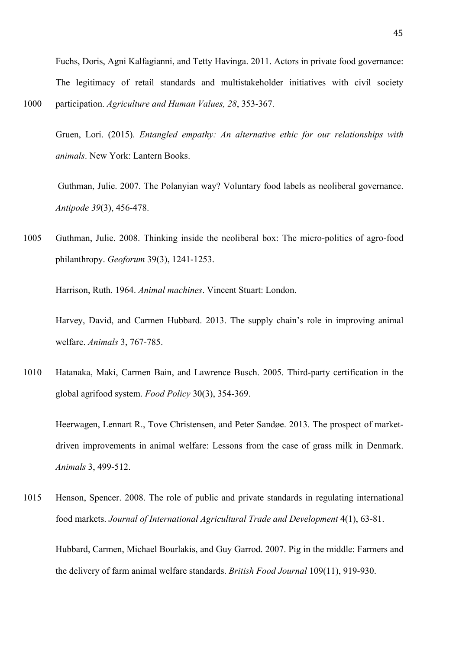Fuchs, Doris, Agni Kalfagianni, and Tetty Havinga. 2011. Actors in private food governance: The legitimacy of retail standards and multistakeholder initiatives with civil society 1000 participation. *Agriculture and Human Values, 28*, 353-367.

Gruen, Lori. (2015). *Entangled empathy: An alternative ethic for our relationships with animals*. New York: Lantern Books.

Guthman, Julie. 2007. The Polanyian way? Voluntary food labels as neoliberal governance. *Antipode 39*(3), 456-478.

1005 Guthman, Julie. 2008. Thinking inside the neoliberal box: The micro-politics of agro-food philanthropy. *Geoforum* 39(3), 1241-1253.

Harrison, Ruth. 1964. *Animal machines*. Vincent Stuart: London.

Harvey, David, and Carmen Hubbard. 2013. The supply chain's role in improving animal welfare. *Animals* 3, 767-785.

1010 Hatanaka, Maki, Carmen Bain, and Lawrence Busch. 2005. Third-party certification in the global agrifood system. *Food Policy* 30(3), 354-369.

Heerwagen, Lennart R., Tove Christensen, and Peter Sandøe. 2013. The prospect of marketdriven improvements in animal welfare: Lessons from the case of grass milk in Denmark. *Animals* 3, 499-512.

1015 Henson, Spencer. 2008. The role of public and private standards in regulating international food markets. *Journal of International Agricultural Trade and Development* 4(1), 63-81.

Hubbard, Carmen, Michael Bourlakis, and Guy Garrod. 2007. Pig in the middle: Farmers and the delivery of farm animal welfare standards. *British Food Journal* 109(11), 919-930.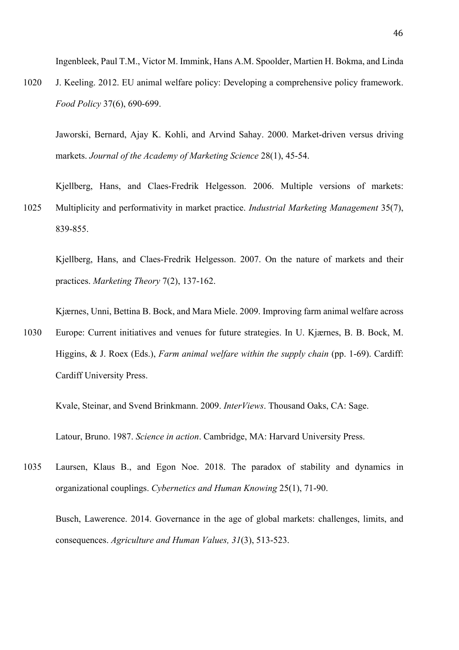Ingenbleek, Paul T.M., Victor M. Immink, Hans A.M. Spoolder, Martien H. Bokma, and Linda

1020 J. Keeling. 2012. EU animal welfare policy: Developing a comprehensive policy framework. *Food Policy* 37(6), 690-699.

Jaworski, Bernard, Ajay K. Kohli, and Arvind Sahay. 2000. Market-driven versus driving markets. *Journal of the Academy of Marketing Science* 28(1), 45-54.

Kjellberg, Hans, and Claes-Fredrik Helgesson. 2006. Multiple versions of markets: 1025 Multiplicity and performativity in market practice. *Industrial Marketing Management* 35(7), 839-855.

Kjellberg, Hans, and Claes-Fredrik Helgesson. 2007. On the nature of markets and their practices. *Marketing Theory* 7(2), 137-162.

Kjærnes, Unni, Bettina B. Bock, and Mara Miele. 2009. Improving farm animal welfare across

1030 Europe: Current initiatives and venues for future strategies. In U. Kjærnes, B. B. Bock, M. Higgins, & J. Roex (Eds.), *Farm animal welfare within the supply chain* (pp. 1-69). Cardiff: Cardiff University Press.

Kvale, Steinar, and Svend Brinkmann. 2009. *InterViews*. Thousand Oaks, CA: Sage.

Latour, Bruno. 1987. *Science in action*. Cambridge, MA: Harvard University Press.

1035 Laursen, Klaus B., and Egon Noe. 2018. The paradox of stability and dynamics in organizational couplings. *Cybernetics and Human Knowing* 25(1), 71-90.

Busch, Lawerence. 2014. Governance in the age of global markets: challenges, limits, and consequences. *Agriculture and Human Values, 31*(3), 513-523.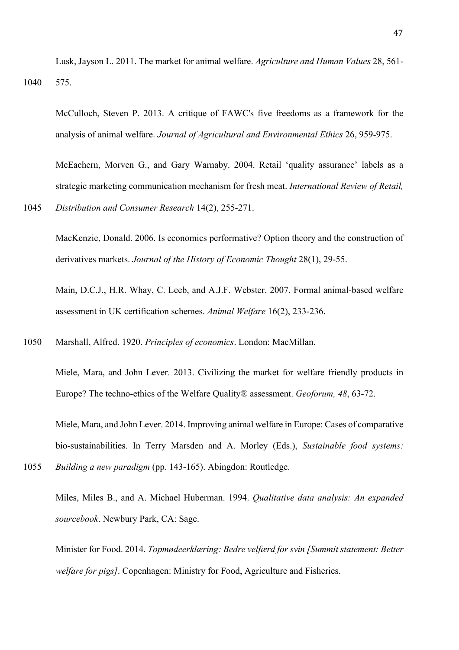Lusk, Jayson L. 2011. The market for animal welfare. *Agriculture and Human Values* 28, 561- 1040 575.

McCulloch, Steven P. 2013. A critique of FAWC's five freedoms as a framework for the analysis of animal welfare. *Journal of Agricultural and Environmental Ethics* 26, 959-975.

McEachern, Morven G., and Gary Warnaby. 2004. Retail 'quality assurance' labels as a strategic marketing communication mechanism for fresh meat. *International Review of Retail,* 

1045 *Distribution and Consumer Research* 14(2), 255-271.

MacKenzie, Donald. 2006. Is economics performative? Option theory and the construction of derivatives markets. *Journal of the History of Economic Thought* 28(1), 29-55.

Main, D.C.J., H.R. Whay, C. Leeb, and A.J.F. Webster. 2007. Formal animal-based welfare assessment in UK certification schemes. *Animal Welfare* 16(2), 233-236.

1050 Marshall, Alfred. 1920. *Principles of economics*. London: MacMillan.

Miele, Mara, and John Lever. 2013. Civilizing the market for welfare friendly products in Europe? The techno-ethics of the Welfare Quality® assessment. *Geoforum, 48*, 63-72.

Miele, Mara, and John Lever. 2014. Improving animal welfare in Europe: Cases of comparative bio-sustainabilities. In Terry Marsden and A. Morley (Eds.), *Sustainable food systems:*  1055 *Building a new paradigm* (pp. 143-165). Abingdon: Routledge.

Miles, Miles B., and A. Michael Huberman. 1994. *Qualitative data analysis: An expanded sourcebook*. Newbury Park, CA: Sage.

Minister for Food. 2014. *Topmødeerklæring: Bedre velfærd for svin [Summit statement: Better welfare for pigs]*. Copenhagen: Ministry for Food, Agriculture and Fisheries.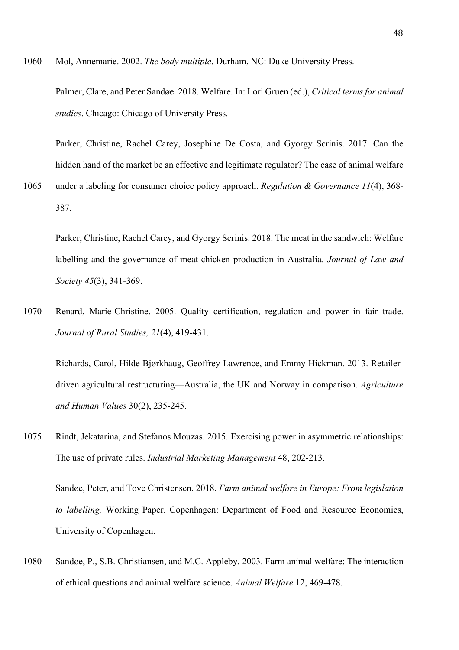1060 Mol, Annemarie. 2002. *The body multiple*. Durham, NC: Duke University Press.

Palmer, Clare, and Peter Sandøe. 2018. Welfare. In: Lori Gruen (ed.), *Critical terms for animal studies*. Chicago: Chicago of University Press.

Parker, Christine, Rachel Carey, Josephine De Costa, and Gyorgy Scrinis. 2017. Can the hidden hand of the market be an effective and legitimate regulator? The case of animal welfare

1065 under a labeling for consumer choice policy approach. *Regulation & Governance 11*(4), 368- 387.

Parker, Christine, Rachel Carey, and Gyorgy Scrinis. 2018. The meat in the sandwich: Welfare labelling and the governance of meat-chicken production in Australia. *Journal of Law and Society 45*(3), 341-369.

1070 Renard, Marie-Christine. 2005. Quality certification, regulation and power in fair trade. *Journal of Rural Studies, 21*(4), 419-431.

Richards, Carol, Hilde Bjørkhaug, Geoffrey Lawrence, and Emmy Hickman. 2013. Retailerdriven agricultural restructuring—Australia, the UK and Norway in comparison. *Agriculture and Human Values* 30(2), 235-245.

1075 Rindt, Jekatarina, and Stefanos Mouzas. 2015. Exercising power in asymmetric relationships: The use of private rules. *Industrial Marketing Management* 48, 202-213.

Sandøe, Peter, and Tove Christensen. 2018. *Farm animal welfare in Europe: From legislation to labelling.* Working Paper. Copenhagen: Department of Food and Resource Economics, University of Copenhagen.

1080 Sandøe, P., S.B. Christiansen, and M.C. Appleby. 2003. Farm animal welfare: The interaction of ethical questions and animal welfare science. *Animal Welfare* 12, 469-478.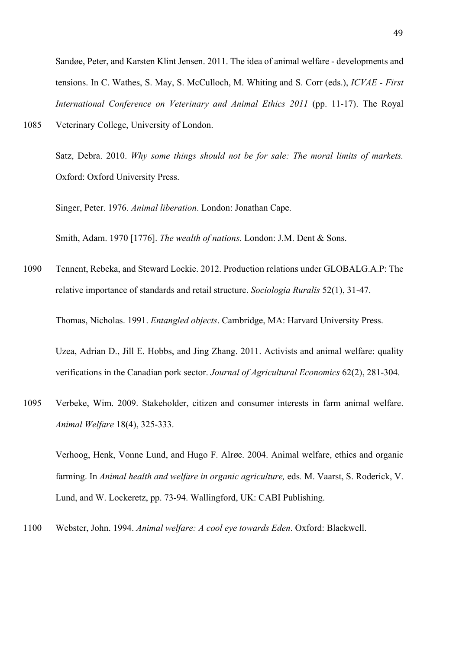Sandøe, Peter, and Karsten Klint Jensen. 2011. The idea of animal welfare - developments and tensions. In C. Wathes, S. May, S. McCulloch, M. Whiting and S. Corr (eds.), *ICVAE - First International Conference on Veterinary and Animal Ethics 2011* (pp. 11-17). The Royal

1085 Veterinary College, University of London.

Satz, Debra. 2010. *Why some things should not be for sale: The moral limits of markets.* Oxford: Oxford University Press.

Singer, Peter. 1976. *Animal liberation*. London: Jonathan Cape.

Smith, Adam. 1970 [1776]. *The wealth of nations*. London: J.M. Dent & Sons.

1090 Tennent, Rebeka, and Steward Lockie. 2012. Production relations under GLOBALG.A.P: The relative importance of standards and retail structure. *Sociologia Ruralis* 52(1), 31-47.

Thomas, Nicholas. 1991. *Entangled objects*. Cambridge, MA: Harvard University Press.

Uzea, Adrian D., Jill E. Hobbs, and Jing Zhang. 2011. Activists and animal welfare: quality verifications in the Canadian pork sector. *Journal of Agricultural Economics* 62(2), 281-304.

1095 Verbeke, Wim. 2009. Stakeholder, citizen and consumer interests in farm animal welfare. *Animal Welfare* 18(4), 325-333.

Verhoog, Henk, Vonne Lund, and Hugo F. Alrøe. 2004. Animal welfare, ethics and organic farming. In *Animal health and welfare in organic agriculture*, eds. M. Vaarst, S. Roderick, V. Lund, and W. Lockeretz, pp. 73-94. Wallingford, UK: CABI Publishing.

1100 Webster, John. 1994. *Animal welfare: A cool eye towards Eden*. Oxford: Blackwell.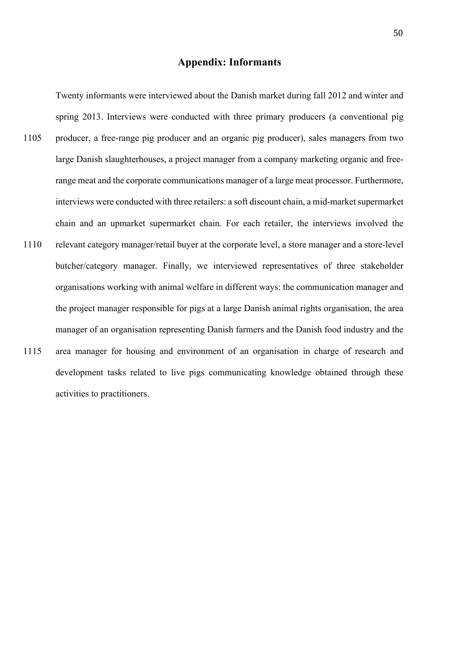# **Appendix: Informants**

Twenty informants were interviewed about the Danish market during fall 2012 and winter and spring 2013. Interviews were conducted with three primary producers (a conventional pig 1105 producer, a free-range pig producer and an organic pig producer), sales managers from two large Danish slaughterhouses, a project manager from a company marketing organic and freerange meat and the corporate communications manager of a large meat processor. Furthermore, interviews were conducted with three retailers: a soft discount chain, a mid-market supermarket chain and an upmarket supermarket chain. For each retailer, the interviews involved the 1110 relevant category manager/retail buyer at the corporate level, a store manager and a store-level butcher/category manager. Finally, we interviewed representatives of three stakeholder organisations working with animal welfare in different ways: the communication manager and the project manager responsible for pigs at a large Danish animal rights organisation, the area manager of an organisation representing Danish farmers and the Danish food industry and the 1115 area manager for housing and environment of an organisation in charge of research and development tasks related to live pigs communicating knowledge obtained through these

activities to practitioners.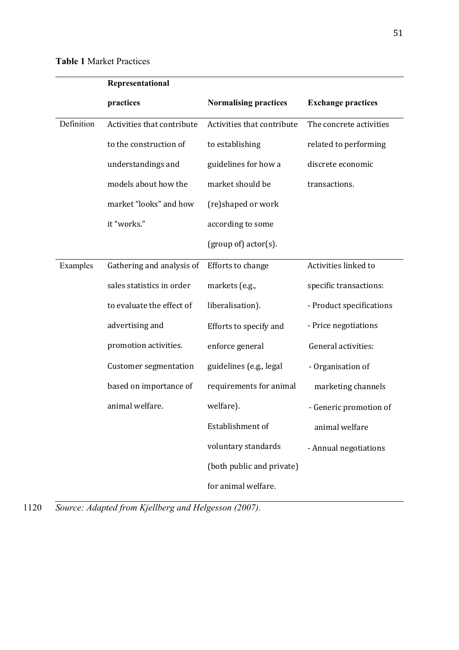|            | Representational             |                              |                           |  |
|------------|------------------------------|------------------------------|---------------------------|--|
|            | practices                    | <b>Normalising practices</b> | <b>Exchange practices</b> |  |
| Definition | Activities that contribute   | Activities that contribute   | The concrete activities   |  |
|            | to the construction of       | to establishing              | related to performing     |  |
|            | understandings and           | guidelines for how a         | discrete economic         |  |
|            | models about how the         | market should be             | transactions.             |  |
|            | market "looks" and how       | (re)shaped or work           |                           |  |
|            | it "works."                  | according to some            |                           |  |
|            |                              | (group of) actor(s).         |                           |  |
| Examples   | Gathering and analysis of    | Efforts to change            | Activities linked to      |  |
|            | sales statistics in order    | markets (e.g.,               | specific transactions:    |  |
|            | to evaluate the effect of    | liberalisation).             | - Product specifications  |  |
|            | advertising and              | Efforts to specify and       | - Price negotiations      |  |
|            | promotion activities.        | enforce general              | General activities:       |  |
|            | <b>Customer segmentation</b> | guidelines (e.g., legal      | - Organisation of         |  |
|            | based on importance of       | requirements for animal      | marketing channels        |  |
|            | animal welfare.              | welfare).                    | - Generic promotion of    |  |
|            |                              | Establishment of             | animal welfare            |  |
|            |                              | voluntary standards          | - Annual negotiations     |  |
|            |                              | (both public and private)    |                           |  |
|            |                              | for animal welfare.          |                           |  |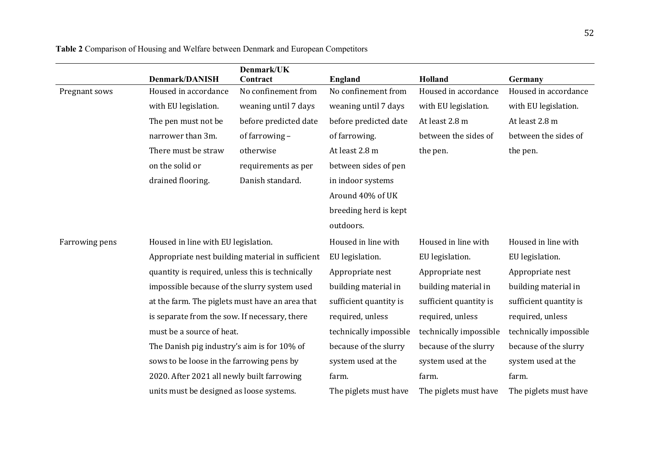|                | Denmark/DANISH                                   | Denmark/UK<br>Contract                           | <b>England</b>         | Holland                | Germany                |
|----------------|--------------------------------------------------|--------------------------------------------------|------------------------|------------------------|------------------------|
| Pregnant sows  | Housed in accordance                             | No confinement from                              | No confinement from    | Housed in accordance   | Housed in accordance   |
|                | with EU legislation.                             | weaning until 7 days                             | weaning until 7 days   | with EU legislation.   | with EU legislation.   |
|                | The pen must not be                              | before predicted date                            | before predicted date  | At least 2.8 m         | At least 2.8 m         |
|                | narrower than 3m.                                | of farrowing -                                   | of farrowing.          | between the sides of   | between the sides of   |
|                | There must be straw                              | otherwise                                        | At least 2.8 m         | the pen.               | the pen.               |
|                | on the solid or                                  | requirements as per                              | between sides of pen   |                        |                        |
|                | drained flooring.                                | Danish standard.                                 | in indoor systems      |                        |                        |
|                |                                                  |                                                  | Around 40% of UK       |                        |                        |
|                |                                                  |                                                  | breeding herd is kept  |                        |                        |
|                |                                                  |                                                  | outdoors.              |                        |                        |
| Farrowing pens | Housed in line with EU legislation.              |                                                  | Housed in line with    | Housed in line with    | Housed in line with    |
|                |                                                  | Appropriate nest building material in sufficient | EU legislation.        | EU legislation.        | EU legislation.        |
|                | quantity is required, unless this is technically |                                                  | Appropriate nest       | Appropriate nest       | Appropriate nest       |
|                | impossible because of the slurry system used     |                                                  | building material in   | building material in   | building material in   |
|                | at the farm. The piglets must have an area that  |                                                  | sufficient quantity is | sufficient quantity is | sufficient quantity is |
|                | is separate from the sow. If necessary, there    |                                                  | required, unless       | required, unless       | required, unless       |
|                | must be a source of heat.                        |                                                  | technically impossible | technically impossible | technically impossible |
|                | The Danish pig industry's aim is for 10% of      |                                                  | because of the slurry  | because of the slurry  | because of the slurry  |
|                |                                                  | sows to be loose in the farrowing pens by        |                        | system used at the     | system used at the     |
|                | 2020. After 2021 all newly built farrowing       |                                                  | farm.                  | farm.                  | farm.                  |
|                |                                                  | units must be designed as loose systems.         |                        | The piglets must have  | The piglets must have  |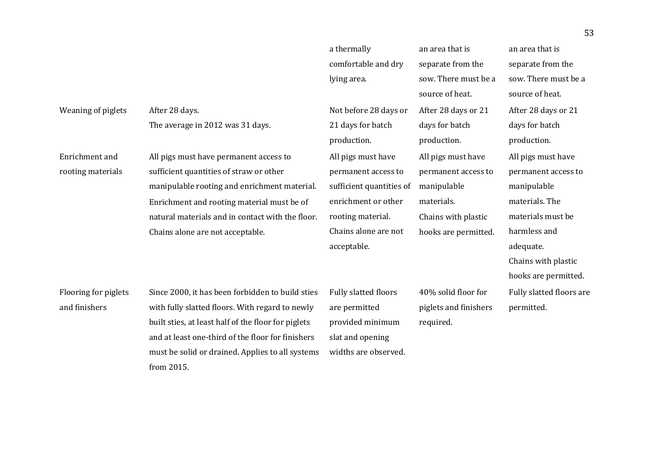|                      |                                                     | a thermally              | an area that is       | an area that is          |
|----------------------|-----------------------------------------------------|--------------------------|-----------------------|--------------------------|
|                      |                                                     | comfortable and dry      | separate from the     | separate from the        |
|                      |                                                     | lying area.              | sow. There must be a  | sow. There must be a     |
|                      |                                                     |                          | source of heat.       | source of heat.          |
| Weaning of piglets   | After 28 days.                                      | Not before 28 days or    | After 28 days or 21   | After 28 days or 21      |
|                      | The average in 2012 was 31 days.                    | 21 days for batch        | days for batch        | days for batch           |
|                      |                                                     | production.              | production.           | production.              |
| Enrichment and       | All pigs must have permanent access to              | All pigs must have       | All pigs must have    | All pigs must have       |
| rooting materials    | sufficient quantities of straw or other             | permanent access to      | permanent access to   | permanent access to      |
|                      | manipulable rooting and enrichment material.        | sufficient quantities of | manipulable           | manipulable              |
|                      | Enrichment and rooting material must be of          | enrichment or other      | materials.            | materials. The           |
|                      | natural materials and in contact with the floor.    | rooting material.        | Chains with plastic   | materials must be        |
|                      | Chains alone are not acceptable.                    | Chains alone are not     | hooks are permitted.  | harmless and             |
|                      |                                                     | acceptable.              |                       | adequate.                |
|                      |                                                     |                          |                       | Chains with plastic      |
|                      |                                                     |                          |                       | hooks are permitted.     |
| Flooring for piglets | Since 2000, it has been forbidden to build sties    | Fully slatted floors     | 40% solid floor for   | Fully slatted floors are |
| and finishers        | with fully slatted floors. With regard to newly     | are permitted            | piglets and finishers | permitted.               |
|                      | built sties, at least half of the floor for piglets | provided minimum         | required.             |                          |
|                      | and at least one-third of the floor for finishers   | slat and opening         |                       |                          |
|                      | must be solid or drained. Applies to all systems    | widths are observed.     |                       |                          |
|                      | from 2015.                                          |                          |                       |                          |